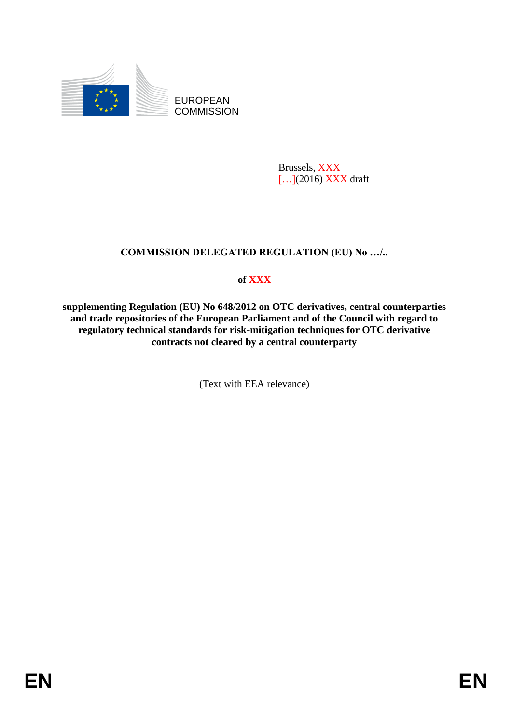

EUROPEAN **COMMISSION** 

> Brussels, XXX [...](2016) XXX draft

## **COMMISSION DELEGATED REGULATION (EU) No …/..**

## **of XXX**

**supplementing Regulation (EU) No 648/2012 on OTC derivatives, central counterparties and trade repositories of the European Parliament and of the Council with regard to regulatory technical standards for risk-mitigation techniques for OTC derivative contracts not cleared by a central counterparty**

(Text with EEA relevance)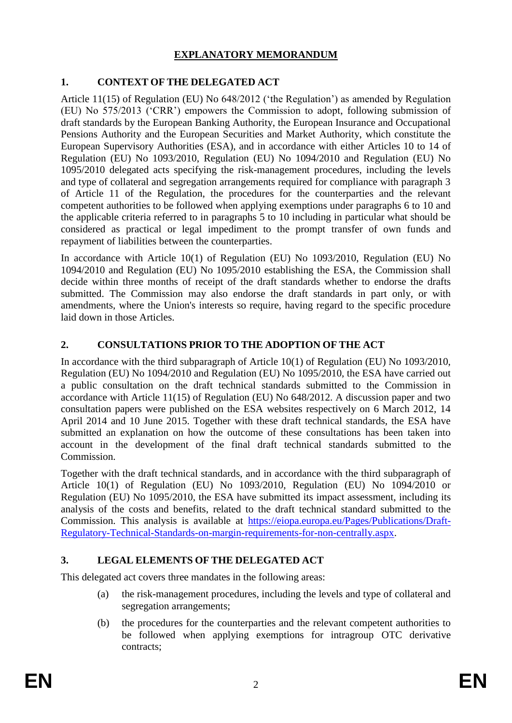## **EXPLANATORY MEMORANDUM**

## **1. CONTEXT OF THE DELEGATED ACT**

Article 11(15) of Regulation (EU) No 648/2012 ('the Regulation') as amended by Regulation (EU) No 575/2013 ('CRR') empowers the Commission to adopt, following submission of draft standards by the European Banking Authority, the European Insurance and Occupational Pensions Authority and the European Securities and Market Authority, which constitute the European Supervisory Authorities (ESA), and in accordance with either Articles 10 to 14 of Regulation (EU) No 1093/2010, Regulation (EU) No 1094/2010 and Regulation (EU) No 1095/2010 delegated acts specifying the risk-management procedures, including the levels and type of collateral and segregation arrangements required for compliance with paragraph 3 of Article 11 of the Regulation, the procedures for the counterparties and the relevant competent authorities to be followed when applying exemptions under paragraphs 6 to 10 and the applicable criteria referred to in paragraphs 5 to 10 including in particular what should be considered as practical or legal impediment to the prompt transfer of own funds and repayment of liabilities between the counterparties.

In accordance with Article 10(1) of Regulation (EU) No 1093/2010, Regulation (EU) No 1094/2010 and Regulation (EU) No 1095/2010 establishing the ESA, the Commission shall decide within three months of receipt of the draft standards whether to endorse the drafts submitted. The Commission may also endorse the draft standards in part only, or with amendments, where the Union's interests so require, having regard to the specific procedure laid down in those Articles.

## **2. CONSULTATIONS PRIOR TO THE ADOPTION OF THE ACT**

In accordance with the third subparagraph of Article 10(1) of Regulation (EU) No 1093/2010, Regulation (EU) No 1094/2010 and Regulation (EU) No 1095/2010, the ESA have carried out a public consultation on the draft technical standards submitted to the Commission in accordance with Article 11(15) of Regulation (EU) No 648/2012. A discussion paper and two consultation papers were published on the ESA websites respectively on 6 March 2012, 14 April 2014 and 10 June 2015. Together with these draft technical standards, the ESA have submitted an explanation on how the outcome of these consultations has been taken into account in the development of the final draft technical standards submitted to the Commission.

Together with the draft technical standards, and in accordance with the third subparagraph of Article 10(1) of Regulation (EU) No 1093/2010, Regulation (EU) No 1094/2010 or Regulation (EU) No 1095/2010, the ESA have submitted its impact assessment, including its analysis of the costs and benefits, related to the draft technical standard submitted to the Commission. This analysis is available at [https://eiopa.europa.eu/Pages/Publications/Draft-](https://eiopa.europa.eu/Pages/Publications/Draft-Regulatory-Technical-Standards-on-margin-requirements-for-non-centrally.aspx)[Regulatory-Technical-Standards-on-margin-requirements-for-non-centrally.aspx.](https://eiopa.europa.eu/Pages/Publications/Draft-Regulatory-Technical-Standards-on-margin-requirements-for-non-centrally.aspx)

## **3. LEGAL ELEMENTS OF THE DELEGATED ACT**

This delegated act covers three mandates in the following areas:

- (a) the risk-management procedures, including the levels and type of collateral and segregation arrangements;
- (b) the procedures for the counterparties and the relevant competent authorities to be followed when applying exemptions for intragroup OTC derivative contracts;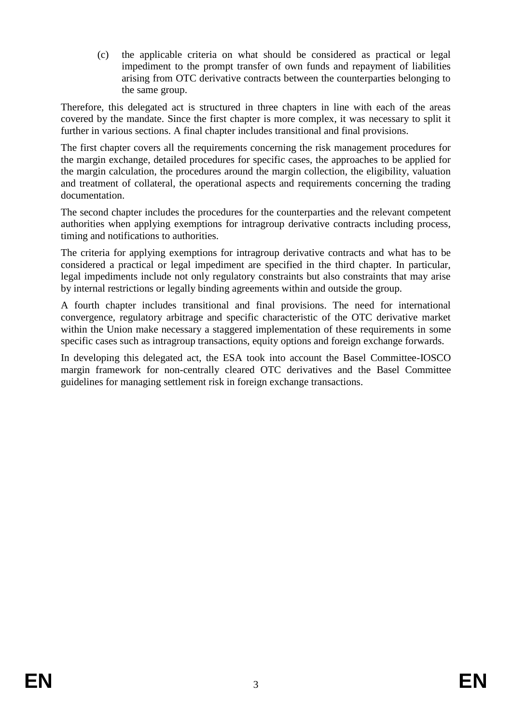(c) the applicable criteria on what should be considered as practical or legal impediment to the prompt transfer of own funds and repayment of liabilities arising from OTC derivative contracts between the counterparties belonging to the same group.

Therefore, this delegated act is structured in three chapters in line with each of the areas covered by the mandate. Since the first chapter is more complex, it was necessary to split it further in various sections. A final chapter includes transitional and final provisions.

The first chapter covers all the requirements concerning the risk management procedures for the margin exchange, detailed procedures for specific cases, the approaches to be applied for the margin calculation, the procedures around the margin collection, the eligibility, valuation and treatment of collateral, the operational aspects and requirements concerning the trading documentation.

The second chapter includes the procedures for the counterparties and the relevant competent authorities when applying exemptions for intragroup derivative contracts including process, timing and notifications to authorities.

The criteria for applying exemptions for intragroup derivative contracts and what has to be considered a practical or legal impediment are specified in the third chapter. In particular, legal impediments include not only regulatory constraints but also constraints that may arise by internal restrictions or legally binding agreements within and outside the group.

A fourth chapter includes transitional and final provisions. The need for international convergence, regulatory arbitrage and specific characteristic of the OTC derivative market within the Union make necessary a staggered implementation of these requirements in some specific cases such as intragroup transactions, equity options and foreign exchange forwards.

In developing this delegated act, the ESA took into account the Basel Committee-IOSCO margin framework for non-centrally cleared OTC derivatives and the Basel Committee guidelines for managing settlement risk in foreign exchange transactions.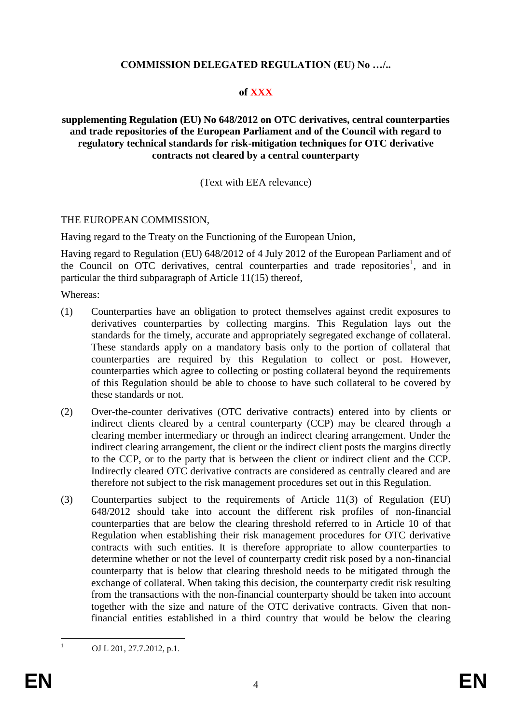## **COMMISSION DELEGATED REGULATION (EU) No …/..**

#### **of XXX**

#### **supplementing Regulation (EU) No 648/2012 on OTC derivatives, central counterparties and trade repositories of the European Parliament and of the Council with regard to regulatory technical standards for risk-mitigation techniques for OTC derivative contracts not cleared by a central counterparty**

#### (Text with EEA relevance)

#### THE EUROPEAN COMMISSION,

Having regard to the Treaty on the Functioning of the European Union,

Having regard to Regulation (EU) 648/2012 of 4 July 2012 of the European Parliament and of the Council on OTC derivatives, central counterparties and trade repositories<sup>1</sup>, and in particular the third subparagraph of Article 11(15) thereof,

Whereas:

- (1) Counterparties have an obligation to protect themselves against credit exposures to derivatives counterparties by collecting margins. This Regulation lays out the standards for the timely, accurate and appropriately segregated exchange of collateral. These standards apply on a mandatory basis only to the portion of collateral that counterparties are required by this Regulation to collect or post. However, counterparties which agree to collecting or posting collateral beyond the requirements of this Regulation should be able to choose to have such collateral to be covered by these standards or not.
- (2) Over-the-counter derivatives (OTC derivative contracts) entered into by clients or indirect clients cleared by a central counterparty (CCP) may be cleared through a clearing member intermediary or through an indirect clearing arrangement. Under the indirect clearing arrangement, the client or the indirect client posts the margins directly to the CCP, or to the party that is between the client or indirect client and the CCP. Indirectly cleared OTC derivative contracts are considered as centrally cleared and are therefore not subject to the risk management procedures set out in this Regulation.
- (3) Counterparties subject to the requirements of Article 11(3) of Regulation (EU) 648/2012 should take into account the different risk profiles of non-financial counterparties that are below the clearing threshold referred to in Article 10 of that Regulation when establishing their risk management procedures for OTC derivative contracts with such entities. It is therefore appropriate to allow counterparties to determine whether or not the level of counterparty credit risk posed by a non-financial counterparty that is below that clearing threshold needs to be mitigated through the exchange of collateral. When taking this decision, the counterparty credit risk resulting from the transactions with the non-financial counterparty should be taken into account together with the size and nature of the OTC derivative contracts. Given that nonfinancial entities established in a third country that would be below the clearing

OJ L 201, 27.7.2012, p.1.

 $\mathbf{1}$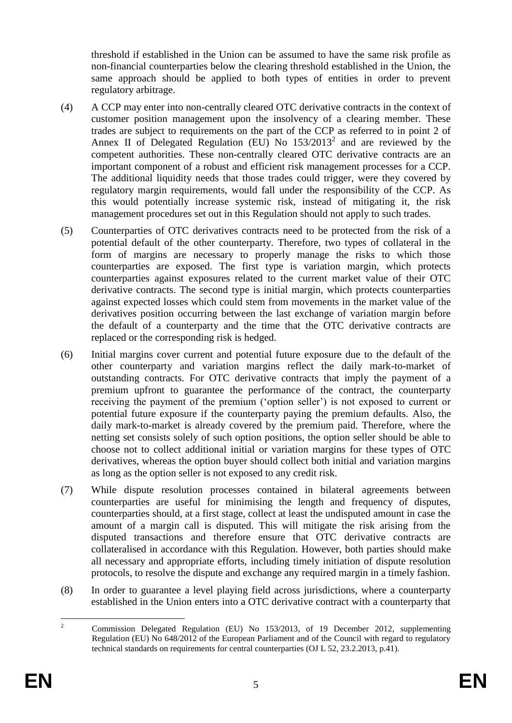threshold if established in the Union can be assumed to have the same risk profile as non-financial counterparties below the clearing threshold established in the Union, the same approach should be applied to both types of entities in order to prevent regulatory arbitrage.

- (4) A CCP may enter into non-centrally cleared OTC derivative contracts in the context of customer position management upon the insolvency of a clearing member. These trades are subject to requirements on the part of the CCP as referred to in point 2 of Annex II of Delegated Regulation (EU) No  $153/2013^2$  and are reviewed by the competent authorities. These non-centrally cleared OTC derivative contracts are an important component of a robust and efficient risk management processes for a CCP. The additional liquidity needs that those trades could trigger, were they covered by regulatory margin requirements, would fall under the responsibility of the CCP. As this would potentially increase systemic risk, instead of mitigating it, the risk management procedures set out in this Regulation should not apply to such trades.
- (5) Counterparties of OTC derivatives contracts need to be protected from the risk of a potential default of the other counterparty. Therefore, two types of collateral in the form of margins are necessary to properly manage the risks to which those counterparties are exposed. The first type is variation margin, which protects counterparties against exposures related to the current market value of their OTC derivative contracts. The second type is initial margin, which protects counterparties against expected losses which could stem from movements in the market value of the derivatives position occurring between the last exchange of variation margin before the default of a counterparty and the time that the OTC derivative contracts are replaced or the corresponding risk is hedged.
- (6) Initial margins cover current and potential future exposure due to the default of the other counterparty and variation margins reflect the daily mark-to-market of outstanding contracts. For OTC derivative contracts that imply the payment of a premium upfront to guarantee the performance of the contract, the counterparty receiving the payment of the premium ('option seller') is not exposed to current or potential future exposure if the counterparty paying the premium defaults. Also, the daily mark-to-market is already covered by the premium paid. Therefore, where the netting set consists solely of such option positions, the option seller should be able to choose not to collect additional initial or variation margins for these types of OTC derivatives, whereas the option buyer should collect both initial and variation margins as long as the option seller is not exposed to any credit risk.
- (7) While dispute resolution processes contained in bilateral agreements between counterparties are useful for minimising the length and frequency of disputes, counterparties should, at a first stage, collect at least the undisputed amount in case the amount of a margin call is disputed. This will mitigate the risk arising from the disputed transactions and therefore ensure that OTC derivative contracts are collateralised in accordance with this Regulation. However, both parties should make all necessary and appropriate efforts, including timely initiation of dispute resolution protocols, to resolve the dispute and exchange any required margin in a timely fashion.
- (8) In order to guarantee a level playing field across jurisdictions, where a counterparty established in the Union enters into a OTC derivative contract with a counterparty that

 $\overline{2}$ <sup>2</sup> Commission Delegated Regulation (EU) No 153/2013, of 19 December 2012, supplementing Regulation (EU) No 648/2012 of the European Parliament and of the Council with regard to regulatory technical standards on requirements for central counterparties (OJ L 52, 23.2.2013, p.41).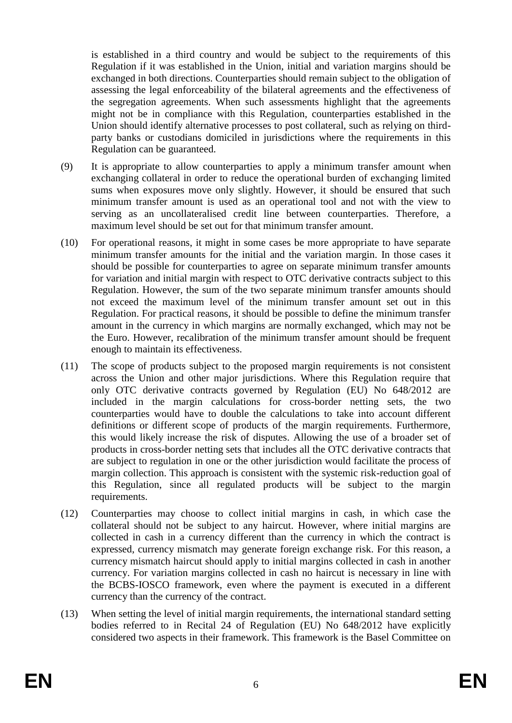is established in a third country and would be subject to the requirements of this Regulation if it was established in the Union, initial and variation margins should be exchanged in both directions. Counterparties should remain subject to the obligation of assessing the legal enforceability of the bilateral agreements and the effectiveness of the segregation agreements. When such assessments highlight that the agreements might not be in compliance with this Regulation, counterparties established in the Union should identify alternative processes to post collateral, such as relying on thirdparty banks or custodians domiciled in jurisdictions where the requirements in this Regulation can be guaranteed.

- (9) It is appropriate to allow counterparties to apply a minimum transfer amount when exchanging collateral in order to reduce the operational burden of exchanging limited sums when exposures move only slightly. However, it should be ensured that such minimum transfer amount is used as an operational tool and not with the view to serving as an uncollateralised credit line between counterparties. Therefore, a maximum level should be set out for that minimum transfer amount.
- (10) For operational reasons, it might in some cases be more appropriate to have separate minimum transfer amounts for the initial and the variation margin. In those cases it should be possible for counterparties to agree on separate minimum transfer amounts for variation and initial margin with respect to OTC derivative contracts subject to this Regulation. However, the sum of the two separate minimum transfer amounts should not exceed the maximum level of the minimum transfer amount set out in this Regulation. For practical reasons, it should be possible to define the minimum transfer amount in the currency in which margins are normally exchanged, which may not be the Euro. However, recalibration of the minimum transfer amount should be frequent enough to maintain its effectiveness.
- (11) The scope of products subject to the proposed margin requirements is not consistent across the Union and other major jurisdictions. Where this Regulation require that only OTC derivative contracts governed by Regulation (EU) No 648/2012 are included in the margin calculations for cross-border netting sets, the two counterparties would have to double the calculations to take into account different definitions or different scope of products of the margin requirements. Furthermore, this would likely increase the risk of disputes. Allowing the use of a broader set of products in cross-border netting sets that includes all the OTC derivative contracts that are subject to regulation in one or the other jurisdiction would facilitate the process of margin collection. This approach is consistent with the systemic risk-reduction goal of this Regulation, since all regulated products will be subject to the margin requirements.
- (12) Counterparties may choose to collect initial margins in cash, in which case the collateral should not be subject to any haircut. However, where initial margins are collected in cash in a currency different than the currency in which the contract is expressed, currency mismatch may generate foreign exchange risk. For this reason, a currency mismatch haircut should apply to initial margins collected in cash in another currency. For variation margins collected in cash no haircut is necessary in line with the BCBS-IOSCO framework, even where the payment is executed in a different currency than the currency of the contract.
- (13) When setting the level of initial margin requirements, the international standard setting bodies referred to in Recital 24 of Regulation (EU) No 648/2012 have explicitly considered two aspects in their framework. This framework is the Basel Committee on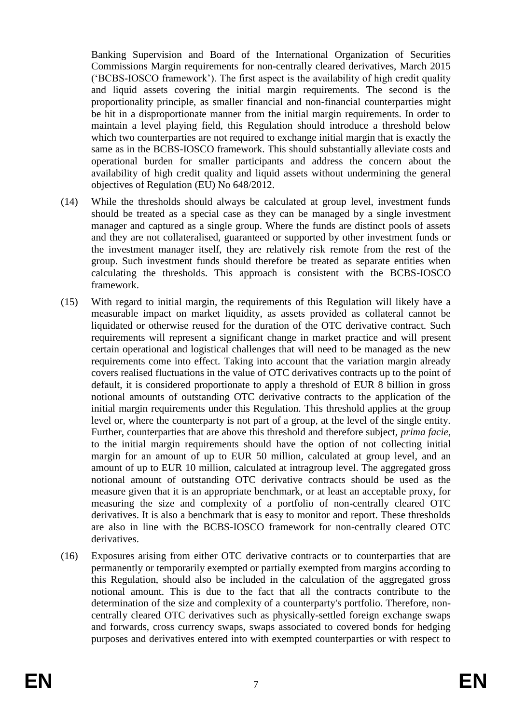Banking Supervision and Board of the International Organization of Securities Commissions Margin requirements for non-centrally cleared derivatives, March 2015 ('BCBS-IOSCO framework'). The first aspect is the availability of high credit quality and liquid assets covering the initial margin requirements. The second is the proportionality principle, as smaller financial and non-financial counterparties might be hit in a disproportionate manner from the initial margin requirements. In order to maintain a level playing field, this Regulation should introduce a threshold below which two counterparties are not required to exchange initial margin that is exactly the same as in the BCBS-IOSCO framework. This should substantially alleviate costs and operational burden for smaller participants and address the concern about the availability of high credit quality and liquid assets without undermining the general objectives of Regulation (EU) No 648/2012.

- (14) While the thresholds should always be calculated at group level, investment funds should be treated as a special case as they can be managed by a single investment manager and captured as a single group. Where the funds are distinct pools of assets and they are not collateralised, guaranteed or supported by other investment funds or the investment manager itself, they are relatively risk remote from the rest of the group. Such investment funds should therefore be treated as separate entities when calculating the thresholds. This approach is consistent with the BCBS-IOSCO framework.
- (15) With regard to initial margin, the requirements of this Regulation will likely have a measurable impact on market liquidity, as assets provided as collateral cannot be liquidated or otherwise reused for the duration of the OTC derivative contract. Such requirements will represent a significant change in market practice and will present certain operational and logistical challenges that will need to be managed as the new requirements come into effect. Taking into account that the variation margin already covers realised fluctuations in the value of OTC derivatives contracts up to the point of default, it is considered proportionate to apply a threshold of EUR 8 billion in gross notional amounts of outstanding OTC derivative contracts to the application of the initial margin requirements under this Regulation. This threshold applies at the group level or, where the counterparty is not part of a group, at the level of the single entity. Further, counterparties that are above this threshold and therefore subject, *prima facie*, to the initial margin requirements should have the option of not collecting initial margin for an amount of up to EUR 50 million, calculated at group level, and an amount of up to EUR 10 million, calculated at intragroup level. The aggregated gross notional amount of outstanding OTC derivative contracts should be used as the measure given that it is an appropriate benchmark, or at least an acceptable proxy, for measuring the size and complexity of a portfolio of non-centrally cleared OTC derivatives. It is also a benchmark that is easy to monitor and report. These thresholds are also in line with the BCBS-IOSCO framework for non-centrally cleared OTC derivatives.
- (16) Exposures arising from either OTC derivative contracts or to counterparties that are permanently or temporarily exempted or partially exempted from margins according to this Regulation, should also be included in the calculation of the aggregated gross notional amount. This is due to the fact that all the contracts contribute to the determination of the size and complexity of a counterparty's portfolio. Therefore, noncentrally cleared OTC derivatives such as physically-settled foreign exchange swaps and forwards, cross currency swaps, swaps associated to covered bonds for hedging purposes and derivatives entered into with exempted counterparties or with respect to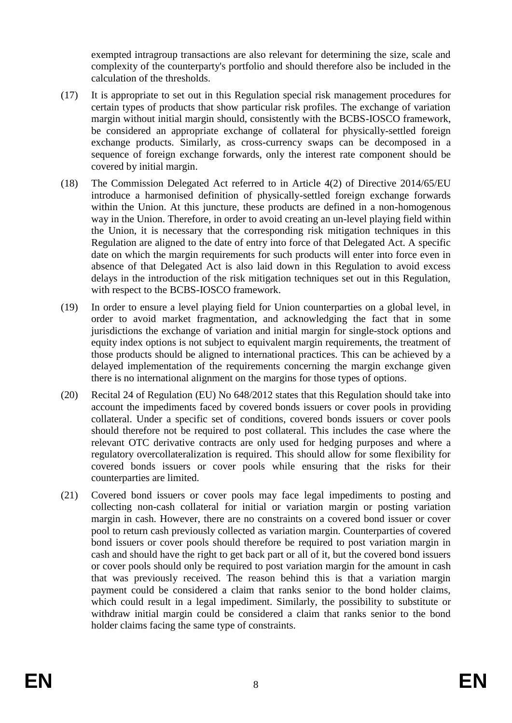exempted intragroup transactions are also relevant for determining the size, scale and complexity of the counterparty's portfolio and should therefore also be included in the calculation of the thresholds.

- (17) It is appropriate to set out in this Regulation special risk management procedures for certain types of products that show particular risk profiles. The exchange of variation margin without initial margin should, consistently with the BCBS-IOSCO framework, be considered an appropriate exchange of collateral for physically-settled foreign exchange products. Similarly, as cross-currency swaps can be decomposed in a sequence of foreign exchange forwards, only the interest rate component should be covered by initial margin.
- (18) The Commission Delegated Act referred to in Article 4(2) of Directive 2014/65/EU introduce a harmonised definition of physically-settled foreign exchange forwards within the Union. At this juncture, these products are defined in a non-homogenous way in the Union. Therefore, in order to avoid creating an un-level playing field within the Union, it is necessary that the corresponding risk mitigation techniques in this Regulation are aligned to the date of entry into force of that Delegated Act. A specific date on which the margin requirements for such products will enter into force even in absence of that Delegated Act is also laid down in this Regulation to avoid excess delays in the introduction of the risk mitigation techniques set out in this Regulation, with respect to the BCBS-IOSCO framework.
- (19) In order to ensure a level playing field for Union counterparties on a global level, in order to avoid market fragmentation, and acknowledging the fact that in some jurisdictions the exchange of variation and initial margin for single-stock options and equity index options is not subject to equivalent margin requirements, the treatment of those products should be aligned to international practices. This can be achieved by a delayed implementation of the requirements concerning the margin exchange given there is no international alignment on the margins for those types of options.
- (20) Recital 24 of Regulation (EU) No 648/2012 states that this Regulation should take into account the impediments faced by covered bonds issuers or cover pools in providing collateral. Under a specific set of conditions, covered bonds issuers or cover pools should therefore not be required to post collateral. This includes the case where the relevant OTC derivative contracts are only used for hedging purposes and where a regulatory overcollateralization is required. This should allow for some flexibility for covered bonds issuers or cover pools while ensuring that the risks for their counterparties are limited.
- (21) Covered bond issuers or cover pools may face legal impediments to posting and collecting non-cash collateral for initial or variation margin or posting variation margin in cash. However, there are no constraints on a covered bond issuer or cover pool to return cash previously collected as variation margin. Counterparties of covered bond issuers or cover pools should therefore be required to post variation margin in cash and should have the right to get back part or all of it, but the covered bond issuers or cover pools should only be required to post variation margin for the amount in cash that was previously received. The reason behind this is that a variation margin payment could be considered a claim that ranks senior to the bond holder claims, which could result in a legal impediment. Similarly, the possibility to substitute or withdraw initial margin could be considered a claim that ranks senior to the bond holder claims facing the same type of constraints.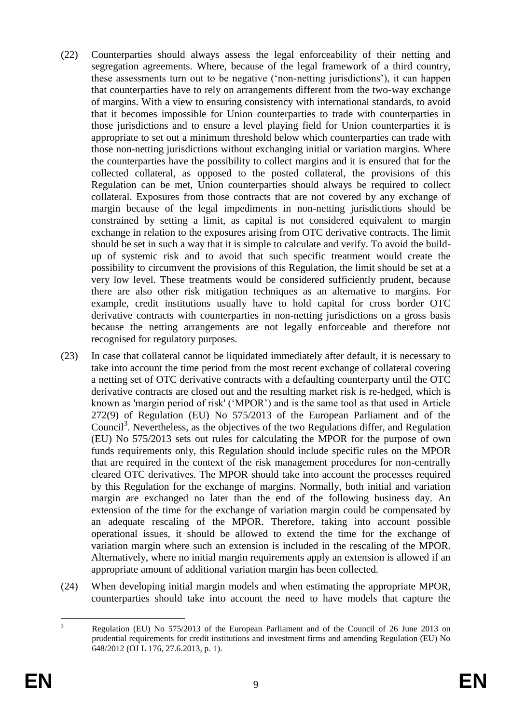- (22) Counterparties should always assess the legal enforceability of their netting and segregation agreements. Where, because of the legal framework of a third country, these assessments turn out to be negative ('non-netting jurisdictions'), it can happen that counterparties have to rely on arrangements different from the two-way exchange of margins. With a view to ensuring consistency with international standards, to avoid that it becomes impossible for Union counterparties to trade with counterparties in those jurisdictions and to ensure a level playing field for Union counterparties it is appropriate to set out a minimum threshold below which counterparties can trade with those non-netting jurisdictions without exchanging initial or variation margins. Where the counterparties have the possibility to collect margins and it is ensured that for the collected collateral, as opposed to the posted collateral, the provisions of this Regulation can be met, Union counterparties should always be required to collect collateral. Exposures from those contracts that are not covered by any exchange of margin because of the legal impediments in non-netting jurisdictions should be constrained by setting a limit, as capital is not considered equivalent to margin exchange in relation to the exposures arising from OTC derivative contracts. The limit should be set in such a way that it is simple to calculate and verify. To avoid the buildup of systemic risk and to avoid that such specific treatment would create the possibility to circumvent the provisions of this Regulation, the limit should be set at a very low level. These treatments would be considered sufficiently prudent, because there are also other risk mitigation techniques as an alternative to margins. For example, credit institutions usually have to hold capital for cross border OTC derivative contracts with counterparties in non-netting jurisdictions on a gross basis because the netting arrangements are not legally enforceable and therefore not recognised for regulatory purposes.
- (23) In case that collateral cannot be liquidated immediately after default, it is necessary to take into account the time period from the most recent exchange of collateral covering a netting set of OTC derivative contracts with a defaulting counterparty until the OTC derivative contracts are closed out and the resulting market risk is re-hedged, which is known as 'margin period of risk' ('MPOR') and is the same tool as that used in Article 272(9) of Regulation (EU) No 575/2013 of the European Parliament and of the Council<sup>3</sup>. Nevertheless, as the objectives of the two Regulations differ, and Regulation (EU) No 575/2013 sets out rules for calculating the MPOR for the purpose of own funds requirements only, this Regulation should include specific rules on the MPOR that are required in the context of the risk management procedures for non-centrally cleared OTC derivatives. The MPOR should take into account the processes required by this Regulation for the exchange of margins. Normally, both initial and variation margin are exchanged no later than the end of the following business day. An extension of the time for the exchange of variation margin could be compensated by an adequate rescaling of the MPOR. Therefore, taking into account possible operational issues, it should be allowed to extend the time for the exchange of variation margin where such an extension is included in the rescaling of the MPOR. Alternatively, where no initial margin requirements apply an extension is allowed if an appropriate amount of additional variation margin has been collected.
- (24) When developing initial margin models and when estimating the appropriate MPOR, counterparties should take into account the need to have models that capture the

 $\overline{3}$ <sup>3</sup> Regulation (EU) No 575/2013 of the European Parliament and of the Council of 26 June 2013 on prudential requirements for credit institutions and investment firms and amending Regulation (EU) No 648/2012 (OJ L 176, 27.6.2013, p. 1).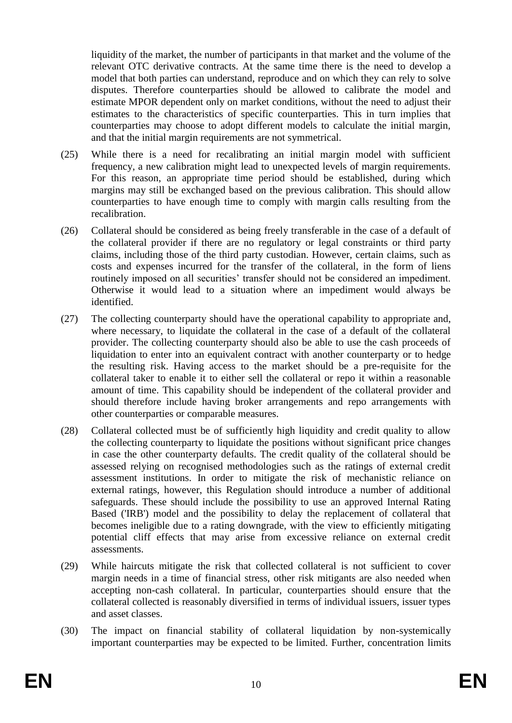liquidity of the market, the number of participants in that market and the volume of the relevant OTC derivative contracts. At the same time there is the need to develop a model that both parties can understand, reproduce and on which they can rely to solve disputes. Therefore counterparties should be allowed to calibrate the model and estimate MPOR dependent only on market conditions, without the need to adjust their estimates to the characteristics of specific counterparties. This in turn implies that counterparties may choose to adopt different models to calculate the initial margin, and that the initial margin requirements are not symmetrical.

- (25) While there is a need for recalibrating an initial margin model with sufficient frequency, a new calibration might lead to unexpected levels of margin requirements. For this reason, an appropriate time period should be established, during which margins may still be exchanged based on the previous calibration. This should allow counterparties to have enough time to comply with margin calls resulting from the recalibration.
- (26) Collateral should be considered as being freely transferable in the case of a default of the collateral provider if there are no regulatory or legal constraints or third party claims, including those of the third party custodian. However, certain claims, such as costs and expenses incurred for the transfer of the collateral, in the form of liens routinely imposed on all securities' transfer should not be considered an impediment. Otherwise it would lead to a situation where an impediment would always be identified.
- (27) The collecting counterparty should have the operational capability to appropriate and, where necessary, to liquidate the collateral in the case of a default of the collateral provider. The collecting counterparty should also be able to use the cash proceeds of liquidation to enter into an equivalent contract with another counterparty or to hedge the resulting risk. Having access to the market should be a pre-requisite for the collateral taker to enable it to either sell the collateral or repo it within a reasonable amount of time. This capability should be independent of the collateral provider and should therefore include having broker arrangements and repo arrangements with other counterparties or comparable measures.
- (28) Collateral collected must be of sufficiently high liquidity and credit quality to allow the collecting counterparty to liquidate the positions without significant price changes in case the other counterparty defaults. The credit quality of the collateral should be assessed relying on recognised methodologies such as the ratings of external credit assessment institutions. In order to mitigate the risk of mechanistic reliance on external ratings, however, this Regulation should introduce a number of additional safeguards. These should include the possibility to use an approved Internal Rating Based ('IRB') model and the possibility to delay the replacement of collateral that becomes ineligible due to a rating downgrade, with the view to efficiently mitigating potential cliff effects that may arise from excessive reliance on external credit assessments.
- (29) While haircuts mitigate the risk that collected collateral is not sufficient to cover margin needs in a time of financial stress, other risk mitigants are also needed when accepting non-cash collateral. In particular, counterparties should ensure that the collateral collected is reasonably diversified in terms of individual issuers, issuer types and asset classes.
- (30) The impact on financial stability of collateral liquidation by non-systemically important counterparties may be expected to be limited. Further, concentration limits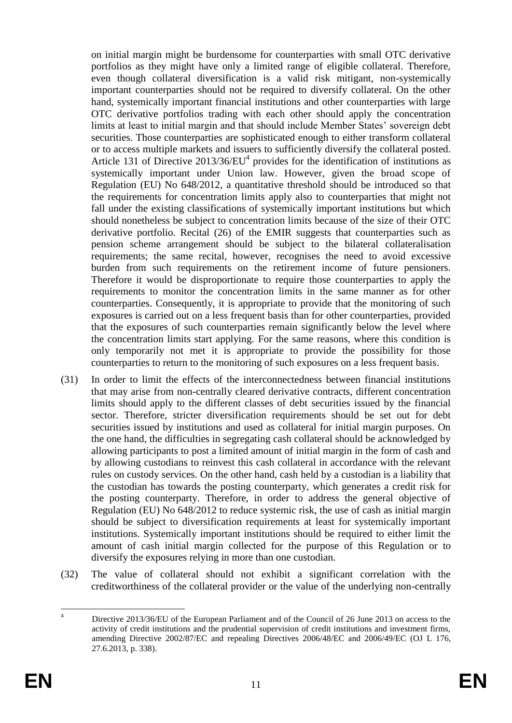on initial margin might be burdensome for counterparties with small OTC derivative portfolios as they might have only a limited range of eligible collateral. Therefore, even though collateral diversification is a valid risk mitigant, non-systemically important counterparties should not be required to diversify collateral. On the other hand, systemically important financial institutions and other counterparties with large OTC derivative portfolios trading with each other should apply the concentration limits at least to initial margin and that should include Member States' sovereign debt securities. Those counterparties are sophisticated enough to either transform collateral or to access multiple markets and issuers to sufficiently diversify the collateral posted. Article 131 of Directive  $2013/36/EU<sup>4</sup>$  provides for the identification of institutions as systemically important under Union law. However, given the broad scope of Regulation (EU) No 648/2012, a quantitative threshold should be introduced so that the requirements for concentration limits apply also to counterparties that might not fall under the existing classifications of systemically important institutions but which should nonetheless be subject to concentration limits because of the size of their OTC derivative portfolio. Recital (26) of the EMIR suggests that counterparties such as pension scheme arrangement should be subject to the bilateral collateralisation requirements; the same recital, however, recognises the need to avoid excessive burden from such requirements on the retirement income of future pensioners. Therefore it would be disproportionate to require those counterparties to apply the requirements to monitor the concentration limits in the same manner as for other counterparties. Consequently, it is appropriate to provide that the monitoring of such exposures is carried out on a less frequent basis than for other counterparties, provided that the exposures of such counterparties remain significantly below the level where the concentration limits start applying. For the same reasons, where this condition is only temporarily not met it is appropriate to provide the possibility for those counterparties to return to the monitoring of such exposures on a less frequent basis.

- (31) In order to limit the effects of the interconnectedness between financial institutions that may arise from non-centrally cleared derivative contracts, different concentration limits should apply to the different classes of debt securities issued by the financial sector. Therefore, stricter diversification requirements should be set out for debt securities issued by institutions and used as collateral for initial margin purposes. On the one hand, the difficulties in segregating cash collateral should be acknowledged by allowing participants to post a limited amount of initial margin in the form of cash and by allowing custodians to reinvest this cash collateral in accordance with the relevant rules on custody services. On the other hand, cash held by a custodian is a liability that the custodian has towards the posting counterparty, which generates a credit risk for the posting counterparty. Therefore, in order to address the general objective of Regulation (EU) No 648/2012 to reduce systemic risk, the use of cash as initial margin should be subject to diversification requirements at least for systemically important institutions. Systemically important institutions should be required to either limit the amount of cash initial margin collected for the purpose of this Regulation or to diversify the exposures relying in more than one custodian.
- (32) The value of collateral should not exhibit a significant correlation with the creditworthiness of the collateral provider or the value of the underlying non-centrally

 $\overline{4}$ Directive 2013/36/EU of the European Parliament and of the Council of 26 June 2013 on access to the activity of credit institutions and the prudential supervision of credit institutions and investment firms, amending Directive 2002/87/EC and repealing Directives 2006/48/EC and 2006/49/EC (OJ L 176, 27.6.2013, p. 338).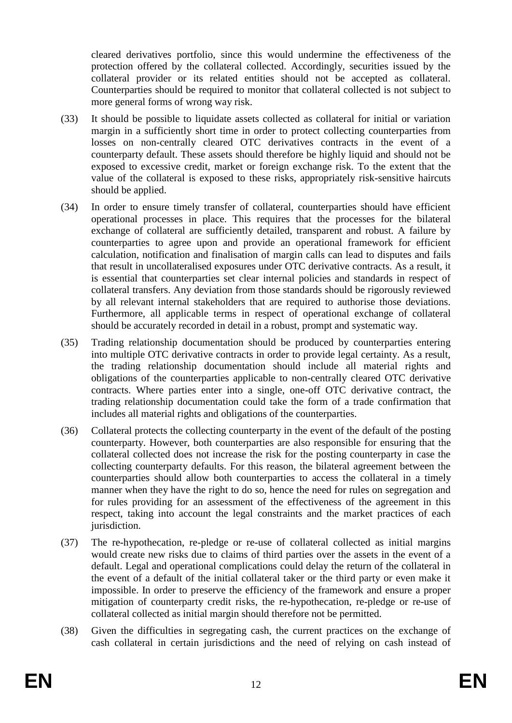cleared derivatives portfolio, since this would undermine the effectiveness of the protection offered by the collateral collected. Accordingly, securities issued by the collateral provider or its related entities should not be accepted as collateral. Counterparties should be required to monitor that collateral collected is not subject to more general forms of wrong way risk.

- (33) It should be possible to liquidate assets collected as collateral for initial or variation margin in a sufficiently short time in order to protect collecting counterparties from losses on non-centrally cleared OTC derivatives contracts in the event of a counterparty default. These assets should therefore be highly liquid and should not be exposed to excessive credit, market or foreign exchange risk. To the extent that the value of the collateral is exposed to these risks, appropriately risk-sensitive haircuts should be applied.
- (34) In order to ensure timely transfer of collateral, counterparties should have efficient operational processes in place. This requires that the processes for the bilateral exchange of collateral are sufficiently detailed, transparent and robust. A failure by counterparties to agree upon and provide an operational framework for efficient calculation, notification and finalisation of margin calls can lead to disputes and fails that result in uncollateralised exposures under OTC derivative contracts. As a result, it is essential that counterparties set clear internal policies and standards in respect of collateral transfers. Any deviation from those standards should be rigorously reviewed by all relevant internal stakeholders that are required to authorise those deviations. Furthermore, all applicable terms in respect of operational exchange of collateral should be accurately recorded in detail in a robust, prompt and systematic way.
- (35) Trading relationship documentation should be produced by counterparties entering into multiple OTC derivative contracts in order to provide legal certainty. As a result, the trading relationship documentation should include all material rights and obligations of the counterparties applicable to non-centrally cleared OTC derivative contracts. Where parties enter into a single, one-off OTC derivative contract, the trading relationship documentation could take the form of a trade confirmation that includes all material rights and obligations of the counterparties.
- (36) Collateral protects the collecting counterparty in the event of the default of the posting counterparty. However, both counterparties are also responsible for ensuring that the collateral collected does not increase the risk for the posting counterparty in case the collecting counterparty defaults. For this reason, the bilateral agreement between the counterparties should allow both counterparties to access the collateral in a timely manner when they have the right to do so, hence the need for rules on segregation and for rules providing for an assessment of the effectiveness of the agreement in this respect, taking into account the legal constraints and the market practices of each jurisdiction.
- (37) The re-hypothecation, re-pledge or re-use of collateral collected as initial margins would create new risks due to claims of third parties over the assets in the event of a default. Legal and operational complications could delay the return of the collateral in the event of a default of the initial collateral taker or the third party or even make it impossible. In order to preserve the efficiency of the framework and ensure a proper mitigation of counterparty credit risks, the re-hypothecation, re-pledge or re-use of collateral collected as initial margin should therefore not be permitted.
- (38) Given the difficulties in segregating cash, the current practices on the exchange of cash collateral in certain jurisdictions and the need of relying on cash instead of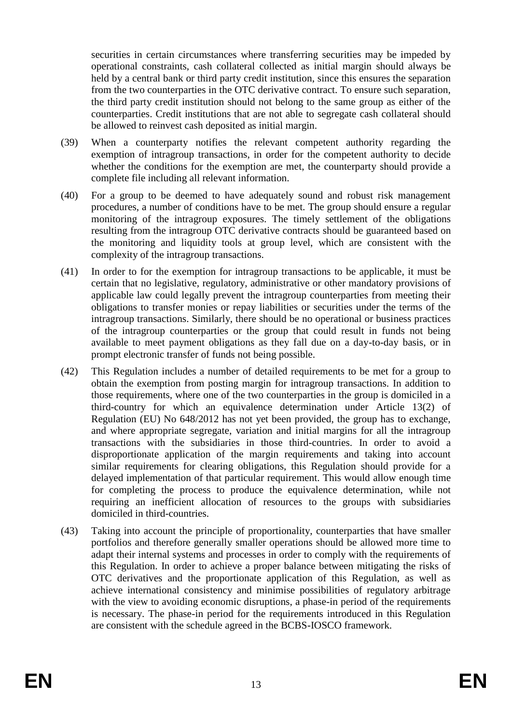securities in certain circumstances where transferring securities may be impeded by operational constraints, cash collateral collected as initial margin should always be held by a central bank or third party credit institution, since this ensures the separation from the two counterparties in the OTC derivative contract. To ensure such separation, the third party credit institution should not belong to the same group as either of the counterparties. Credit institutions that are not able to segregate cash collateral should be allowed to reinvest cash deposited as initial margin.

- (39) When a counterparty notifies the relevant competent authority regarding the exemption of intragroup transactions, in order for the competent authority to decide whether the conditions for the exemption are met, the counterparty should provide a complete file including all relevant information.
- (40) For a group to be deemed to have adequately sound and robust risk management procedures, a number of conditions have to be met. The group should ensure a regular monitoring of the intragroup exposures. The timely settlement of the obligations resulting from the intragroup OTC derivative contracts should be guaranteed based on the monitoring and liquidity tools at group level, which are consistent with the complexity of the intragroup transactions.
- (41) In order to for the exemption for intragroup transactions to be applicable, it must be certain that no legislative, regulatory, administrative or other mandatory provisions of applicable law could legally prevent the intragroup counterparties from meeting their obligations to transfer monies or repay liabilities or securities under the terms of the intragroup transactions. Similarly, there should be no operational or business practices of the intragroup counterparties or the group that could result in funds not being available to meet payment obligations as they fall due on a day-to-day basis, or in prompt electronic transfer of funds not being possible.
- (42) This Regulation includes a number of detailed requirements to be met for a group to obtain the exemption from posting margin for intragroup transactions. In addition to those requirements, where one of the two counterparties in the group is domiciled in a third-country for which an equivalence determination under Article 13(2) of Regulation (EU) No 648/2012 has not yet been provided, the group has to exchange, and where appropriate segregate, variation and initial margins for all the intragroup transactions with the subsidiaries in those third-countries. In order to avoid a disproportionate application of the margin requirements and taking into account similar requirements for clearing obligations, this Regulation should provide for a delayed implementation of that particular requirement. This would allow enough time for completing the process to produce the equivalence determination, while not requiring an inefficient allocation of resources to the groups with subsidiaries domiciled in third-countries.
- (43) Taking into account the principle of proportionality, counterparties that have smaller portfolios and therefore generally smaller operations should be allowed more time to adapt their internal systems and processes in order to comply with the requirements of this Regulation. In order to achieve a proper balance between mitigating the risks of OTC derivatives and the proportionate application of this Regulation, as well as achieve international consistency and minimise possibilities of regulatory arbitrage with the view to avoiding economic disruptions, a phase-in period of the requirements is necessary. The phase-in period for the requirements introduced in this Regulation are consistent with the schedule agreed in the BCBS-IOSCO framework.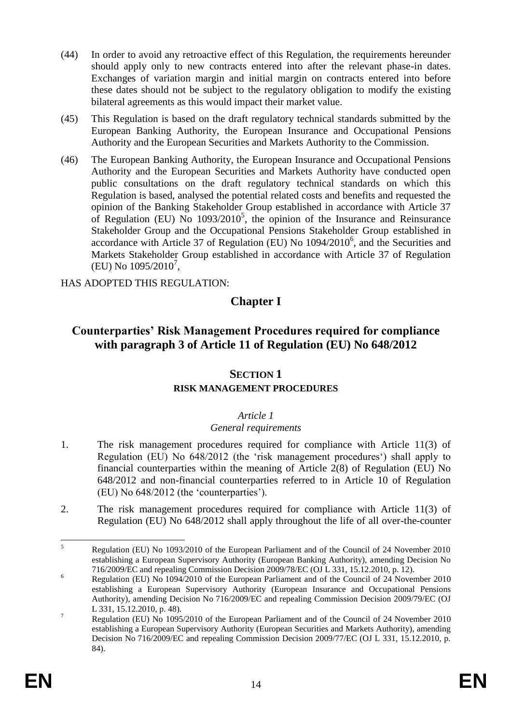- (44) In order to avoid any retroactive effect of this Regulation, the requirements hereunder should apply only to new contracts entered into after the relevant phase-in dates. Exchanges of variation margin and initial margin on contracts entered into before these dates should not be subject to the regulatory obligation to modify the existing bilateral agreements as this would impact their market value.
- (45) This Regulation is based on the draft regulatory technical standards submitted by the European Banking Authority, the European Insurance and Occupational Pensions Authority and the European Securities and Markets Authority to the Commission.
- (46) The European Banking Authority, the European Insurance and Occupational Pensions Authority and the European Securities and Markets Authority have conducted open public consultations on the draft regulatory technical standards on which this Regulation is based, analysed the potential related costs and benefits and requested the opinion of the Banking Stakeholder Group established in accordance with Article 37 of Regulation (EU) No  $1093/2010^5$ , the opinion of the Insurance and Reinsurance Stakeholder Group and the Occupational Pensions Stakeholder Group established in accordance with Article 37 of Regulation (EU) No 1094/2010<sup>6</sup>, and the Securities and Markets Stakeholder Group established in accordance with Article 37 of Regulation (EU) No  $1095/2010^7$ ,

HAS ADOPTED THIS REGULATION:

## **Chapter I**

# **Counterparties' Risk Management Procedures required for compliance with paragraph 3 of Article 11 of Regulation (EU) No 648/2012**

## **SECTION 1**

## **RISK MANAGEMENT PROCEDURES**

## *Article 1*

## *General requirements*

- 1. The risk management procedures required for compliance with Article 11(3) of Regulation (EU) No 648/2012 (the 'risk management procedures') shall apply to financial counterparties within the meaning of Article 2(8) of Regulation (EU) No 648/2012 and non-financial counterparties referred to in Article 10 of Regulation (EU) No 648/2012 (the 'counterparties').
- 2. The risk management procedures required for compliance with Article 11(3) of Regulation (EU) No 648/2012 shall apply throughout the life of all over-the-counter

 $\overline{\mathbf{5}}$ <sup>5</sup> Regulation (EU) No 1093/2010 of the European Parliament and of the Council of 24 November 2010 establishing a European Supervisory Authority (European Banking Authority), amending Decision No 716/2009/EC and repealing Commission Decision 2009/78/EC (OJ L 331, 15.12.2010, p. 12).

<sup>6</sup> Regulation (EU) No 1094/2010 of the European Parliament and of the Council of 24 November 2010 establishing a European Supervisory Authority (European Insurance and Occupational Pensions Authority), amending Decision No 716/2009/EC and repealing Commission Decision 2009/79/EC (OJ L 331, 15.12.2010, p. 48).

<sup>&</sup>lt;sup>7</sup> Regulation (EU) No 1095/2010 of the European Parliament and of the Council of 24 November 2010 establishing a European Supervisory Authority (European Securities and Markets Authority), amending Decision No 716/2009/EC and repealing Commission Decision 2009/77/EC (OJ L 331, 15.12.2010, p. 84).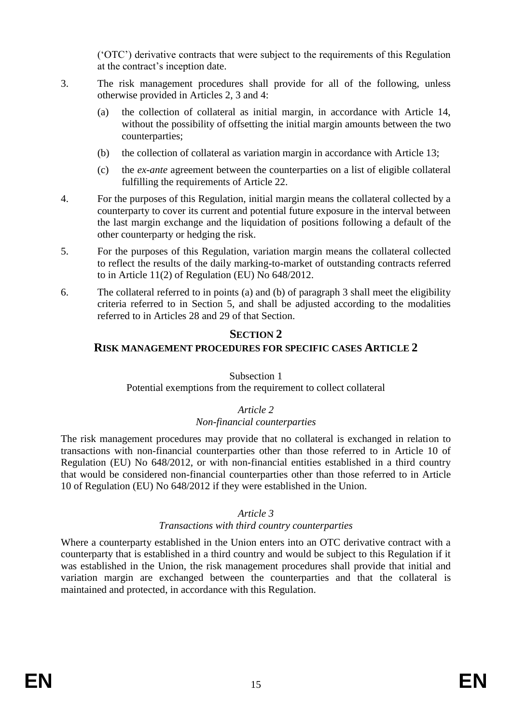('OTC') derivative contracts that were subject to the requirements of this Regulation at the contract's inception date.

- 3. The risk management procedures shall provide for all of the following, unless otherwise provided in Articles 2, 3 and 4:
	- (a) the collection of collateral as initial margin, in accordance with Article 14, without the possibility of offsetting the initial margin amounts between the two counterparties;
	- (b) the collection of collateral as variation margin in accordance with Article 13;
	- (c) the *ex-ante* agreement between the counterparties on a list of eligible collateral fulfilling the requirements of Article 22.
- 4. For the purposes of this Regulation, initial margin means the collateral collected by a counterparty to cover its current and potential future exposure in the interval between the last margin exchange and the liquidation of positions following a default of the other counterparty or hedging the risk.
- 5. For the purposes of this Regulation, variation margin means the collateral collected to reflect the results of the daily marking-to-market of outstanding contracts referred to in Article 11(2) of Regulation (EU) No 648/2012.
- 6. The collateral referred to in points (a) and (b) of paragraph 3 shall meet the eligibility criteria referred to in Section 5, and shall be adjusted according to the modalities referred to in Articles 28 and 29 of that Section.

## **SECTION 2**

## **RISK MANAGEMENT PROCEDURES FOR SPECIFIC CASES ARTICLE 2**

#### Subsection 1

## Potential exemptions from the requirement to collect collateral

## *Article 2*

## *Non-financial counterparties*

The risk management procedures may provide that no collateral is exchanged in relation to transactions with non-financial counterparties other than those referred to in Article 10 of Regulation (EU) No 648/2012, or with non-financial entities established in a third country that would be considered non-financial counterparties other than those referred to in Article 10 of Regulation (EU) No 648/2012 if they were established in the Union.

#### *Article 3*

#### *Transactions with third country counterparties*

Where a counterparty established in the Union enters into an OTC derivative contract with a counterparty that is established in a third country and would be subject to this Regulation if it was established in the Union, the risk management procedures shall provide that initial and variation margin are exchanged between the counterparties and that the collateral is maintained and protected, in accordance with this Regulation.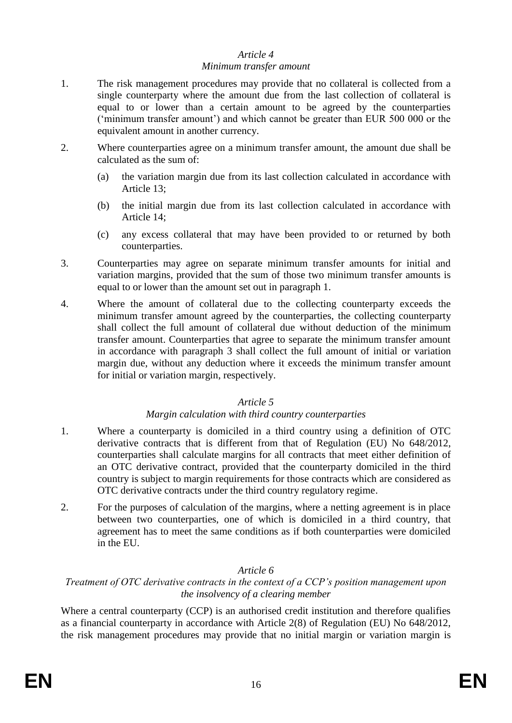# *Article 4*

#### *Minimum transfer amount*

- 1. The risk management procedures may provide that no collateral is collected from a single counterparty where the amount due from the last collection of collateral is equal to or lower than a certain amount to be agreed by the counterparties ('minimum transfer amount') and which cannot be greater than EUR 500 000 or the equivalent amount in another currency.
- 2. Where counterparties agree on a minimum transfer amount, the amount due shall be calculated as the sum of:
	- (a) the variation margin due from its last collection calculated in accordance with Article 13;
	- (b) the initial margin due from its last collection calculated in accordance with Article 14;
	- (c) any excess collateral that may have been provided to or returned by both counterparties.
- 3. Counterparties may agree on separate minimum transfer amounts for initial and variation margins, provided that the sum of those two minimum transfer amounts is equal to or lower than the amount set out in paragraph 1.
- 4. Where the amount of collateral due to the collecting counterparty exceeds the minimum transfer amount agreed by the counterparties, the collecting counterparty shall collect the full amount of collateral due without deduction of the minimum transfer amount. Counterparties that agree to separate the minimum transfer amount in accordance with paragraph 3 shall collect the full amount of initial or variation margin due, without any deduction where it exceeds the minimum transfer amount for initial or variation margin, respectively.

## *Article 5*

## *Margin calculation with third country counterparties*

- 1. Where a counterparty is domiciled in a third country using a definition of OTC derivative contracts that is different from that of Regulation (EU) No 648/2012, counterparties shall calculate margins for all contracts that meet either definition of an OTC derivative contract, provided that the counterparty domiciled in the third country is subject to margin requirements for those contracts which are considered as OTC derivative contracts under the third country regulatory regime.
- 2. For the purposes of calculation of the margins, where a netting agreement is in place between two counterparties, one of which is domiciled in a third country, that agreement has to meet the same conditions as if both counterparties were domiciled in the EU.

## *Article 6*

## *Treatment of OTC derivative contracts in the context of a CCP's position management upon the insolvency of a clearing member*

Where a central counterparty (CCP) is an authorised credit institution and therefore qualifies as a financial counterparty in accordance with Article 2(8) of Regulation (EU) No 648/2012, the risk management procedures may provide that no initial margin or variation margin is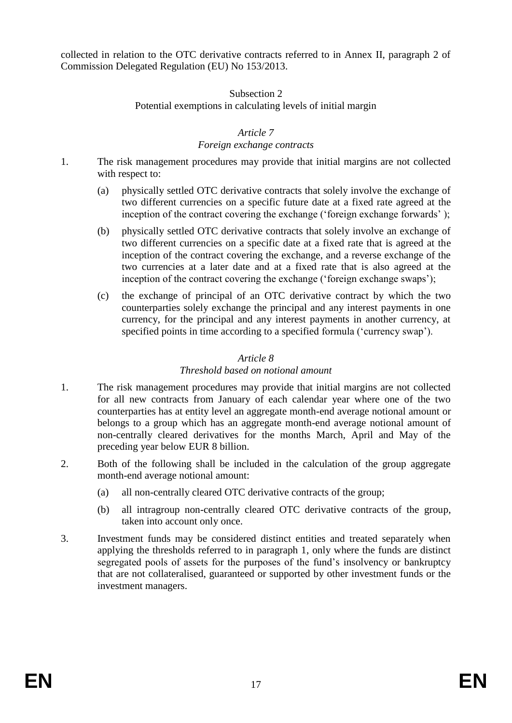collected in relation to the OTC derivative contracts referred to in Annex II, paragraph 2 of Commission Delegated Regulation (EU) No 153/2013.

#### Subsection 2 Potential exemptions in calculating levels of initial margin

## *Article 7*

#### *Foreign exchange contracts*

- 1. The risk management procedures may provide that initial margins are not collected with respect to:
	- (a) physically settled OTC derivative contracts that solely involve the exchange of two different currencies on a specific future date at a fixed rate agreed at the inception of the contract covering the exchange ('foreign exchange forwards');
	- (b) physically settled OTC derivative contracts that solely involve an exchange of two different currencies on a specific date at a fixed rate that is agreed at the inception of the contract covering the exchange, and a reverse exchange of the two currencies at a later date and at a fixed rate that is also agreed at the inception of the contract covering the exchange ('foreign exchange swaps');
	- (c) the exchange of principal of an OTC derivative contract by which the two counterparties solely exchange the principal and any interest payments in one currency, for the principal and any interest payments in another currency, at specified points in time according to a specified formula ('currency swap').

## *Article 8*

## *Threshold based on notional amount*

- 1. The risk management procedures may provide that initial margins are not collected for all new contracts from January of each calendar year where one of the two counterparties has at entity level an aggregate month-end average notional amount or belongs to a group which has an aggregate month-end average notional amount of non-centrally cleared derivatives for the months March, April and May of the preceding year below EUR 8 billion.
- 2. Both of the following shall be included in the calculation of the group aggregate month-end average notional amount:
	- (a) all non-centrally cleared OTC derivative contracts of the group;
	- (b) all intragroup non-centrally cleared OTC derivative contracts of the group, taken into account only once.
- 3. Investment funds may be considered distinct entities and treated separately when applying the thresholds referred to in paragraph 1, only where the funds are distinct segregated pools of assets for the purposes of the fund's insolvency or bankruptcy that are not collateralised, guaranteed or supported by other investment funds or the investment managers.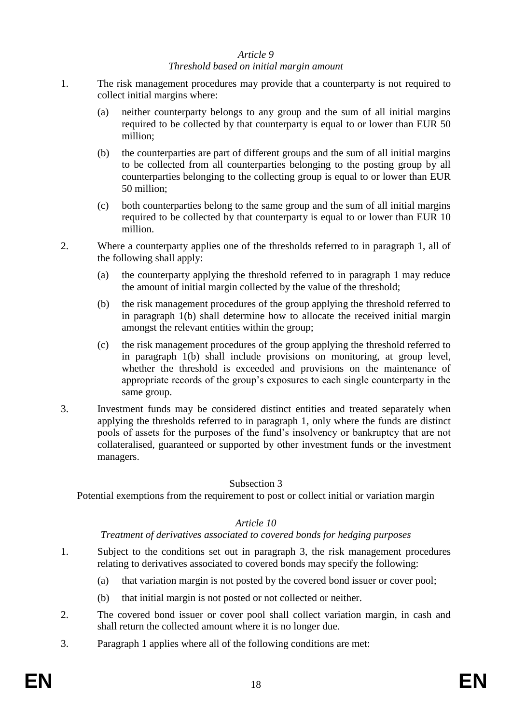#### *Article 9*

#### *Threshold based on initial margin amount*

- 1. The risk management procedures may provide that a counterparty is not required to collect initial margins where:
	- (a) neither counterparty belongs to any group and the sum of all initial margins required to be collected by that counterparty is equal to or lower than EUR 50 million;
	- (b) the counterparties are part of different groups and the sum of all initial margins to be collected from all counterparties belonging to the posting group by all counterparties belonging to the collecting group is equal to or lower than EUR 50 million;
	- (c) both counterparties belong to the same group and the sum of all initial margins required to be collected by that counterparty is equal to or lower than EUR 10 million.
- 2. Where a counterparty applies one of the thresholds referred to in paragraph 1, all of the following shall apply:
	- (a) the counterparty applying the threshold referred to in paragraph 1 may reduce the amount of initial margin collected by the value of the threshold;
	- (b) the risk management procedures of the group applying the threshold referred to in paragraph 1(b) shall determine how to allocate the received initial margin amongst the relevant entities within the group;
	- (c) the risk management procedures of the group applying the threshold referred to in paragraph 1(b) shall include provisions on monitoring, at group level, whether the threshold is exceeded and provisions on the maintenance of appropriate records of the group's exposures to each single counterparty in the same group.
- 3. Investment funds may be considered distinct entities and treated separately when applying the thresholds referred to in paragraph 1, only where the funds are distinct pools of assets for the purposes of the fund's insolvency or bankruptcy that are not collateralised, guaranteed or supported by other investment funds or the investment managers.

#### Subsection 3

Potential exemptions from the requirement to post or collect initial or variation margin

#### *Article 10*

#### *Treatment of derivatives associated to covered bonds for hedging purposes*

- 1. Subject to the conditions set out in paragraph 3, the risk management procedures relating to derivatives associated to covered bonds may specify the following:
	- (a) that variation margin is not posted by the covered bond issuer or cover pool;
	- (b) that initial margin is not posted or not collected or neither.
- 2. The covered bond issuer or cover pool shall collect variation margin, in cash and shall return the collected amount where it is no longer due.
- 3. Paragraph 1 applies where all of the following conditions are met: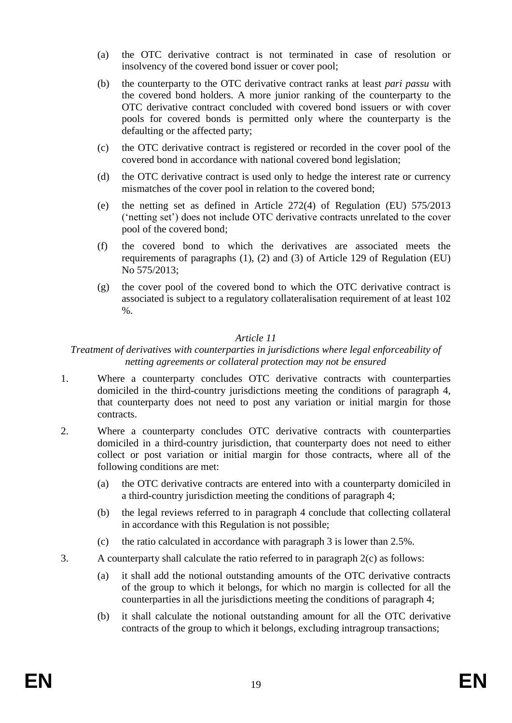- (a) the OTC derivative contract is not terminated in case of resolution or insolvency of the covered bond issuer or cover pool;
- (b) the counterparty to the OTC derivative contract ranks at least *pari passu* with the covered bond holders. A more junior ranking of the counterparty to the OTC derivative contract concluded with covered bond issuers or with cover pools for covered bonds is permitted only where the counterparty is the defaulting or the affected party;
- (c) the OTC derivative contract is registered or recorded in the cover pool of the covered bond in accordance with national covered bond legislation;
- (d) the OTC derivative contract is used only to hedge the interest rate or currency mismatches of the cover pool in relation to the covered bond;
- (e) the netting set as defined in Article 272(4) of Regulation (EU) 575/2013 ('netting set') does not include OTC derivative contracts unrelated to the cover pool of the covered bond;
- (f) the covered bond to which the derivatives are associated meets the requirements of paragraphs (1), (2) and (3) of Article 129 of Regulation (EU) No 575/2013;
- (g) the cover pool of the covered bond to which the OTC derivative contract is associated is subject to a regulatory collateralisation requirement of at least 102 %.

## *Article 11*

#### *Treatment of derivatives with counterparties in jurisdictions where legal enforceability of netting agreements or collateral protection may not be ensured*

- 1. Where a counterparty concludes OTC derivative contracts with counterparties domiciled in the third-country jurisdictions meeting the conditions of paragraph 4, that counterparty does not need to post any variation or initial margin for those contracts.
- 2. Where a counterparty concludes OTC derivative contracts with counterparties domiciled in a third-country jurisdiction, that counterparty does not need to either collect or post variation or initial margin for those contracts, where all of the following conditions are met:
	- (a) the OTC derivative contracts are entered into with a counterparty domiciled in a third-country jurisdiction meeting the conditions of paragraph 4;
	- (b) the legal reviews referred to in paragraph 4 conclude that collecting collateral in accordance with this Regulation is not possible;
	- (c) the ratio calculated in accordance with paragraph 3 is lower than 2.5%.
- 3. A counterparty shall calculate the ratio referred to in paragraph 2(c) as follows:
	- (a) it shall add the notional outstanding amounts of the OTC derivative contracts of the group to which it belongs, for which no margin is collected for all the counterparties in all the jurisdictions meeting the conditions of paragraph 4;
	- (b) it shall calculate the notional outstanding amount for all the OTC derivative contracts of the group to which it belongs, excluding intragroup transactions;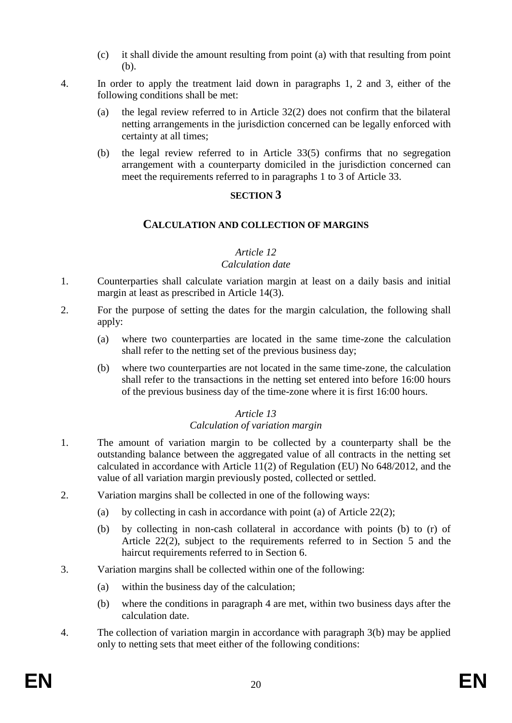- (c) it shall divide the amount resulting from point (a) with that resulting from point (b).
- 4. In order to apply the treatment laid down in paragraphs 1, 2 and 3, either of the following conditions shall be met:
	- (a) the legal review referred to in Article 32(2) does not confirm that the bilateral netting arrangements in the jurisdiction concerned can be legally enforced with certainty at all times;
	- (b) the legal review referred to in Article 33(5) confirms that no segregation arrangement with a counterparty domiciled in the jurisdiction concerned can meet the requirements referred to in paragraphs 1 to 3 of Article 33.

#### **SECTION 3**

## **CALCULATION AND COLLECTION OF MARGINS**

## *Article 12*

## *Calculation date*

- 1. Counterparties shall calculate variation margin at least on a daily basis and initial margin at least as prescribed in Article 14(3).
- 2. For the purpose of setting the dates for the margin calculation, the following shall apply:
	- (a) where two counterparties are located in the same time-zone the calculation shall refer to the netting set of the previous business day;
	- (b) where two counterparties are not located in the same time-zone, the calculation shall refer to the transactions in the netting set entered into before 16:00 hours of the previous business day of the time-zone where it is first 16:00 hours.

## *Article 13*

## *Calculation of variation margin*

- 1. The amount of variation margin to be collected by a counterparty shall be the outstanding balance between the aggregated value of all contracts in the netting set calculated in accordance with Article 11(2) of Regulation (EU) No 648/2012, and the value of all variation margin previously posted, collected or settled.
- 2. Variation margins shall be collected in one of the following ways:
	- (a) by collecting in cash in accordance with point (a) of Article 22(2);
	- (b) by collecting in non-cash collateral in accordance with points (b) to (r) of Article 22(2), subject to the requirements referred to in Section 5 and the haircut requirements referred to in Section 6.
- 3. Variation margins shall be collected within one of the following:
	- (a) within the business day of the calculation;
	- (b) where the conditions in paragraph 4 are met, within two business days after the calculation date.
- 4. The collection of variation margin in accordance with paragraph 3(b) may be applied only to netting sets that meet either of the following conditions: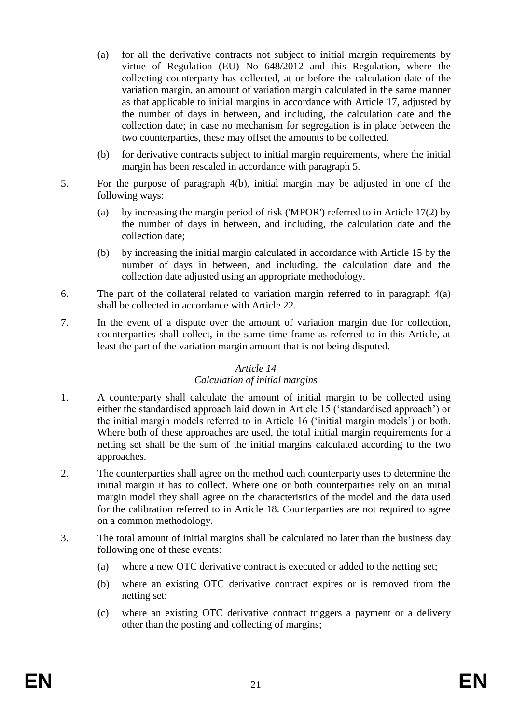- (a) for all the derivative contracts not subject to initial margin requirements by virtue of Regulation (EU) No 648/2012 and this Regulation, where the collecting counterparty has collected, at or before the calculation date of the variation margin, an amount of variation margin calculated in the same manner as that applicable to initial margins in accordance with Article 17, adjusted by the number of days in between, and including, the calculation date and the collection date; in case no mechanism for segregation is in place between the two counterparties, these may offset the amounts to be collected.
- (b) for derivative contracts subject to initial margin requirements, where the initial margin has been rescaled in accordance with paragraph 5.
- 5. For the purpose of paragraph 4(b), initial margin may be adjusted in one of the following ways:
	- (a) by increasing the margin period of risk ('MPOR') referred to in Article 17(2) by the number of days in between, and including, the calculation date and the collection date;
	- (b) by increasing the initial margin calculated in accordance with Article 15 by the number of days in between, and including, the calculation date and the collection date adjusted using an appropriate methodology.
- 6. The part of the collateral related to variation margin referred to in paragraph 4(a) shall be collected in accordance with Article 22.
- 7. In the event of a dispute over the amount of variation margin due for collection, counterparties shall collect, in the same time frame as referred to in this Article, at least the part of the variation margin amount that is not being disputed.

#### *Article 14*

## *Calculation of initial margins*

- 1. A counterparty shall calculate the amount of initial margin to be collected using either the standardised approach laid down in Article 15 ('standardised approach') or the initial margin models referred to in Article 16 ('initial margin models') or both. Where both of these approaches are used, the total initial margin requirements for a netting set shall be the sum of the initial margins calculated according to the two approaches.
- 2. The counterparties shall agree on the method each counterparty uses to determine the initial margin it has to collect. Where one or both counterparties rely on an initial margin model they shall agree on the characteristics of the model and the data used for the calibration referred to in Article 18. Counterparties are not required to agree on a common methodology.
- 3. The total amount of initial margins shall be calculated no later than the business day following one of these events:
	- (a) where a new OTC derivative contract is executed or added to the netting set;
	- (b) where an existing OTC derivative contract expires or is removed from the netting set;
	- (c) where an existing OTC derivative contract triggers a payment or a delivery other than the posting and collecting of margins;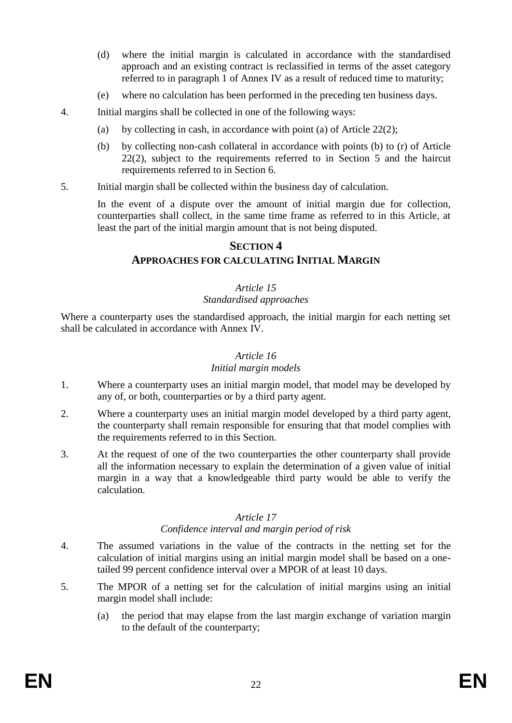- (d) where the initial margin is calculated in accordance with the standardised approach and an existing contract is reclassified in terms of the asset category referred to in paragraph 1 of Annex IV as a result of reduced time to maturity;
- (e) where no calculation has been performed in the preceding ten business days.
- 4. Initial margins shall be collected in one of the following ways:
	- (a) by collecting in cash, in accordance with point (a) of Article 22(2);
	- (b) by collecting non-cash collateral in accordance with points (b) to (r) of Article 22(2), subject to the requirements referred to in Section 5 and the haircut requirements referred to in Section 6.
- 5. Initial margin shall be collected within the business day of calculation.

In the event of a dispute over the amount of initial margin due for collection, counterparties shall collect, in the same time frame as referred to in this Article, at least the part of the initial margin amount that is not being disputed.

## **SECTION 4**

## **APPROACHES FOR CALCULATING INITIAL MARGIN**

## *Article 15*

#### *Standardised approaches*

Where a counterparty uses the standardised approach, the initial margin for each netting set shall be calculated in accordance with Annex IV.

# *Article 16*

## *Initial margin models*

- 1. Where a counterparty uses an initial margin model, that model may be developed by any of, or both, counterparties or by a third party agent.
- 2. Where a counterparty uses an initial margin model developed by a third party agent, the counterparty shall remain responsible for ensuring that that model complies with the requirements referred to in this Section.
- 3. At the request of one of the two counterparties the other counterparty shall provide all the information necessary to explain the determination of a given value of initial margin in a way that a knowledgeable third party would be able to verify the calculation.

## *Article 17*

## *Confidence interval and margin period of risk*

- 4. The assumed variations in the value of the contracts in the netting set for the calculation of initial margins using an initial margin model shall be based on a onetailed 99 percent confidence interval over a MPOR of at least 10 days.
- 5. The MPOR of a netting set for the calculation of initial margins using an initial margin model shall include:
	- (a) the period that may elapse from the last margin exchange of variation margin to the default of the counterparty;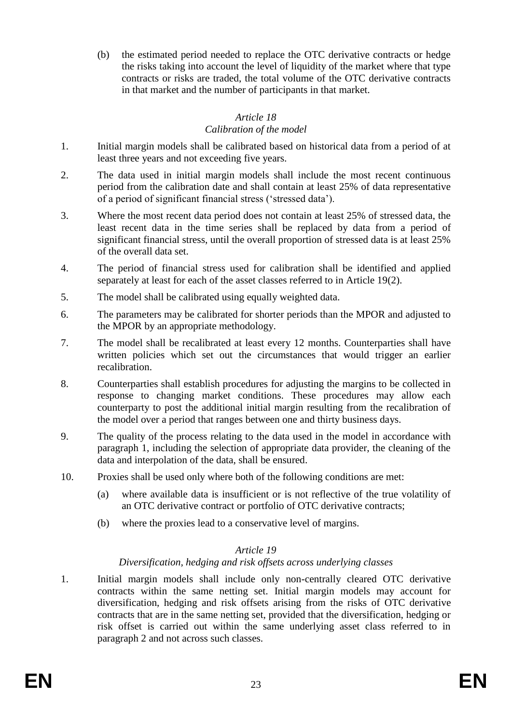(b) the estimated period needed to replace the OTC derivative contracts or hedge the risks taking into account the level of liquidity of the market where that type contracts or risks are traded, the total volume of the OTC derivative contracts in that market and the number of participants in that market.

## *Article 18*

## *Calibration of the model*

- 1. Initial margin models shall be calibrated based on historical data from a period of at least three years and not exceeding five years.
- 2. The data used in initial margin models shall include the most recent continuous period from the calibration date and shall contain at least 25% of data representative of a period of significant financial stress ('stressed data').
- 3. Where the most recent data period does not contain at least 25% of stressed data, the least recent data in the time series shall be replaced by data from a period of significant financial stress, until the overall proportion of stressed data is at least 25% of the overall data set.
- 4. The period of financial stress used for calibration shall be identified and applied separately at least for each of the asset classes referred to in Article 19(2).
- 5. The model shall be calibrated using equally weighted data.
- 6. The parameters may be calibrated for shorter periods than the MPOR and adjusted to the MPOR by an appropriate methodology.
- 7. The model shall be recalibrated at least every 12 months. Counterparties shall have written policies which set out the circumstances that would trigger an earlier recalibration.
- 8. Counterparties shall establish procedures for adjusting the margins to be collected in response to changing market conditions. These procedures may allow each counterparty to post the additional initial margin resulting from the recalibration of the model over a period that ranges between one and thirty business days.
- 9. The quality of the process relating to the data used in the model in accordance with paragraph 1, including the selection of appropriate data provider, the cleaning of the data and interpolation of the data, shall be ensured.
- 10. Proxies shall be used only where both of the following conditions are met:
	- (a) where available data is insufficient or is not reflective of the true volatility of an OTC derivative contract or portfolio of OTC derivative contracts;
	- (b) where the proxies lead to a conservative level of margins.

## *Article 19*

## *Diversification, hedging and risk offsets across underlying classes*

1. Initial margin models shall include only non-centrally cleared OTC derivative contracts within the same netting set. Initial margin models may account for diversification, hedging and risk offsets arising from the risks of OTC derivative contracts that are in the same netting set, provided that the diversification, hedging or risk offset is carried out within the same underlying asset class referred to in paragraph 2 and not across such classes.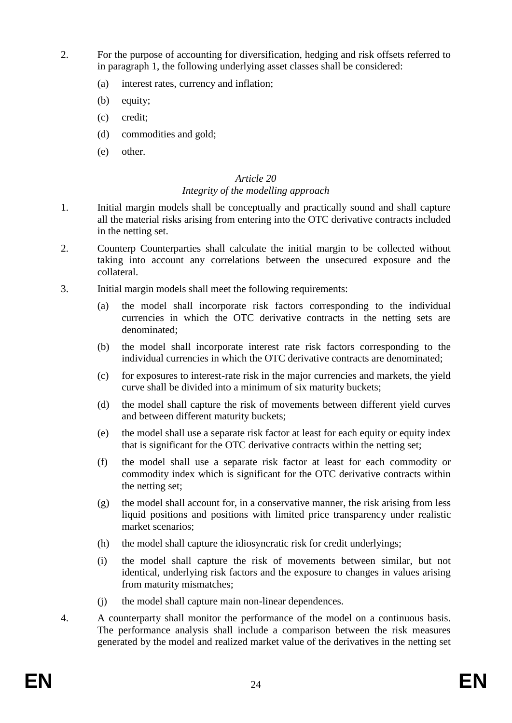- 2. For the purpose of accounting for diversification, hedging and risk offsets referred to in paragraph 1, the following underlying asset classes shall be considered:
	- (a) interest rates, currency and inflation;
	- (b) equity;
	- (c) credit;
	- (d) commodities and gold;
	- (e) other.

#### *Article 20 Integrity of the modelling approach*

- 1. Initial margin models shall be conceptually and practically sound and shall capture all the material risks arising from entering into the OTC derivative contracts included in the netting set.
- 2. Counterp Counterparties shall calculate the initial margin to be collected without taking into account any correlations between the unsecured exposure and the collateral.
- 3. Initial margin models shall meet the following requirements:
	- (a) the model shall incorporate risk factors corresponding to the individual currencies in which the OTC derivative contracts in the netting sets are denominated;
	- (b) the model shall incorporate interest rate risk factors corresponding to the individual currencies in which the OTC derivative contracts are denominated;
	- (c) for exposures to interest-rate risk in the major currencies and markets, the yield curve shall be divided into a minimum of six maturity buckets;
	- (d) the model shall capture the risk of movements between different yield curves and between different maturity buckets;
	- (e) the model shall use a separate risk factor at least for each equity or equity index that is significant for the OTC derivative contracts within the netting set;
	- (f) the model shall use a separate risk factor at least for each commodity or commodity index which is significant for the OTC derivative contracts within the netting set;
	- (g) the model shall account for, in a conservative manner, the risk arising from less liquid positions and positions with limited price transparency under realistic market scenarios;
	- (h) the model shall capture the idiosyncratic risk for credit underlyings;
	- (i) the model shall capture the risk of movements between similar, but not identical, underlying risk factors and the exposure to changes in values arising from maturity mismatches;
	- (j) the model shall capture main non-linear dependences.
- 4. A counterparty shall monitor the performance of the model on a continuous basis. The performance analysis shall include a comparison between the risk measures generated by the model and realized market value of the derivatives in the netting set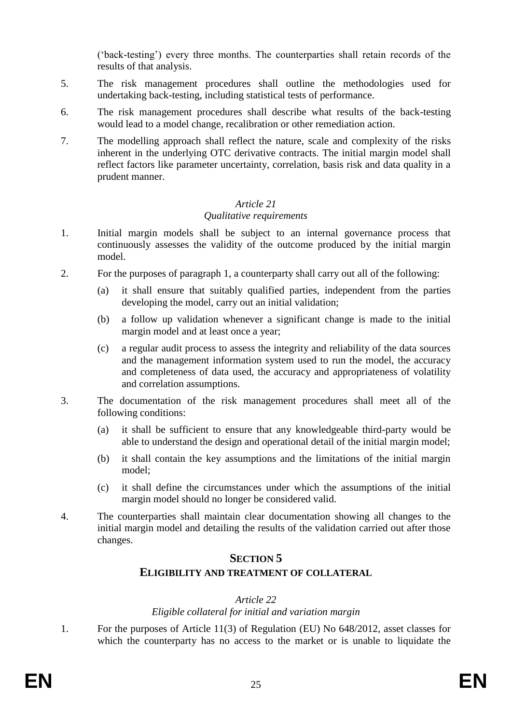('back-testing') every three months. The counterparties shall retain records of the results of that analysis.

- 5. The risk management procedures shall outline the methodologies used for undertaking back-testing, including statistical tests of performance.
- 6. The risk management procedures shall describe what results of the back-testing would lead to a model change, recalibration or other remediation action.
- 7. The modelling approach shall reflect the nature, scale and complexity of the risks inherent in the underlying OTC derivative contracts. The initial margin model shall reflect factors like parameter uncertainty, correlation, basis risk and data quality in a prudent manner.

# *Article 21*

#### *Qualitative requirements*

- 1. Initial margin models shall be subject to an internal governance process that continuously assesses the validity of the outcome produced by the initial margin model.
- 2. For the purposes of paragraph 1, a counterparty shall carry out all of the following:
	- (a) it shall ensure that suitably qualified parties, independent from the parties developing the model, carry out an initial validation;
	- (b) a follow up validation whenever a significant change is made to the initial margin model and at least once a year;
	- (c) a regular audit process to assess the integrity and reliability of the data sources and the management information system used to run the model, the accuracy and completeness of data used, the accuracy and appropriateness of volatility and correlation assumptions.
- 3. The documentation of the risk management procedures shall meet all of the following conditions:
	- (a) it shall be sufficient to ensure that any knowledgeable third-party would be able to understand the design and operational detail of the initial margin model;
	- (b) it shall contain the key assumptions and the limitations of the initial margin model;
	- (c) it shall define the circumstances under which the assumptions of the initial margin model should no longer be considered valid.
- 4. The counterparties shall maintain clear documentation showing all changes to the initial margin model and detailing the results of the validation carried out after those changes.

## **SECTION 5**

## **ELIGIBILITY AND TREATMENT OF COLLATERAL**

## *Article 22*

## *Eligible collateral for initial and variation margin*

1. For the purposes of Article 11(3) of Regulation (EU) No 648/2012, asset classes for which the counterparty has no access to the market or is unable to liquidate the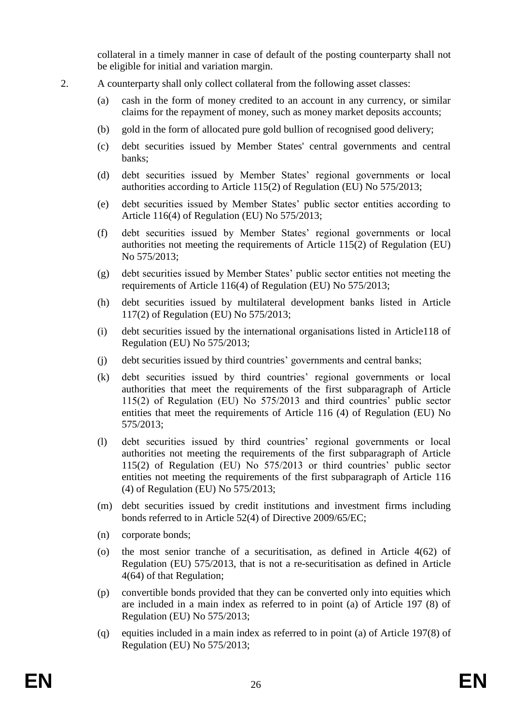collateral in a timely manner in case of default of the posting counterparty shall not be eligible for initial and variation margin.

- 2. A counterparty shall only collect collateral from the following asset classes:
	- (a) cash in the form of money credited to an account in any currency, or similar claims for the repayment of money, such as money market deposits accounts;
	- (b) gold in the form of allocated pure gold bullion of recognised good delivery;
	- (c) debt securities issued by Member States' central governments and central banks;
	- (d) debt securities issued by Member States' regional governments or local authorities according to Article 115(2) of Regulation (EU) No 575/2013;
	- (e) debt securities issued by Member States' public sector entities according to Article 116(4) of Regulation (EU) No 575/2013;
	- (f) debt securities issued by Member States' regional governments or local authorities not meeting the requirements of Article 115(2) of Regulation (EU) No 575/2013;
	- (g) debt securities issued by Member States' public sector entities not meeting the requirements of Article 116(4) of Regulation (EU) No 575/2013;
	- (h) debt securities issued by multilateral development banks listed in Article 117(2) of Regulation (EU) No 575/2013;
	- (i) debt securities issued by the international organisations listed in Article118 of Regulation (EU) No 575/2013;
	- (j) debt securities issued by third countries' governments and central banks;
	- (k) debt securities issued by third countries' regional governments or local authorities that meet the requirements of the first subparagraph of Article 115(2) of Regulation (EU) No 575/2013 and third countries' public sector entities that meet the requirements of Article 116 (4) of Regulation (EU) No 575/2013;
	- (l) debt securities issued by third countries' regional governments or local authorities not meeting the requirements of the first subparagraph of Article 115(2) of Regulation (EU) No 575/2013 or third countries' public sector entities not meeting the requirements of the first subparagraph of Article 116 (4) of Regulation (EU) No 575/2013;
	- (m) debt securities issued by credit institutions and investment firms including bonds referred to in Article 52(4) of Directive 2009/65/EC;
	- (n) corporate bonds;
	- (o) the most senior tranche of a securitisation, as defined in Article 4(62) of Regulation (EU) 575/2013, that is not a re-securitisation as defined in Article 4(64) of that Regulation;
	- (p) convertible bonds provided that they can be converted only into equities which are included in a main index as referred to in point (a) of Article 197 (8) of Regulation (EU) No 575/2013;
	- (q) equities included in a main index as referred to in point (a) of Article 197(8) of Regulation (EU) No 575/2013;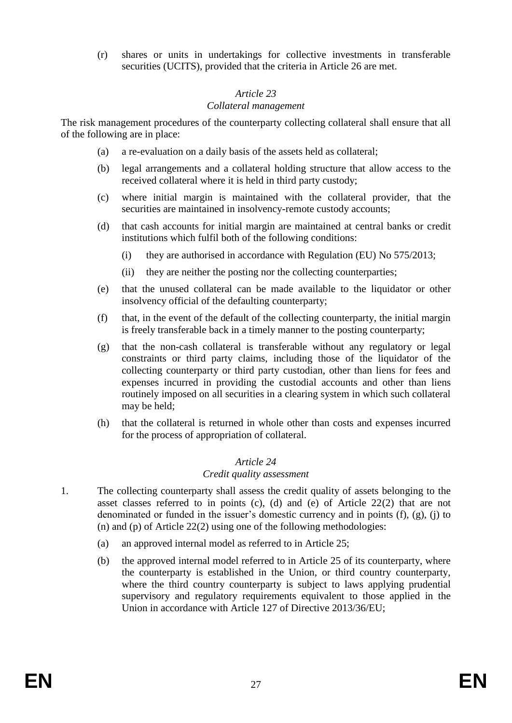(r) shares or units in undertakings for collective investments in transferable securities (UCITS), provided that the criteria in Article 26 are met.

## *Article 23*

#### *Collateral management*

The risk management procedures of the counterparty collecting collateral shall ensure that all of the following are in place:

- (a) a re-evaluation on a daily basis of the assets held as collateral;
- (b) legal arrangements and a collateral holding structure that allow access to the received collateral where it is held in third party custody;
- (c) where initial margin is maintained with the collateral provider, that the securities are maintained in insolvency-remote custody accounts;
- (d) that cash accounts for initial margin are maintained at central banks or credit institutions which fulfil both of the following conditions:
	- (i) they are authorised in accordance with Regulation (EU) No 575/2013;
	- (ii) they are neither the posting nor the collecting counterparties;
- (e) that the unused collateral can be made available to the liquidator or other insolvency official of the defaulting counterparty;
- (f) that, in the event of the default of the collecting counterparty, the initial margin is freely transferable back in a timely manner to the posting counterparty;
- (g) that the non-cash collateral is transferable without any regulatory or legal constraints or third party claims, including those of the liquidator of the collecting counterparty or third party custodian, other than liens for fees and expenses incurred in providing the custodial accounts and other than liens routinely imposed on all securities in a clearing system in which such collateral may be held;
- (h) that the collateral is returned in whole other than costs and expenses incurred for the process of appropriation of collateral.

## *Article 24*

## *Credit quality assessment*

- 1. The collecting counterparty shall assess the credit quality of assets belonging to the asset classes referred to in points (c), (d) and (e) of Article 22(2) that are not denominated or funded in the issuer's domestic currency and in points (f), (g), (j) to (n) and (p) of Article 22(2) using one of the following methodologies:
	- (a) an approved internal model as referred to in Article 25;
	- (b) the approved internal model referred to in Article 25 of its counterparty, where the counterparty is established in the Union, or third country counterparty, where the third country counterparty is subject to laws applying prudential supervisory and regulatory requirements equivalent to those applied in the Union in accordance with Article 127 of Directive 2013/36/EU;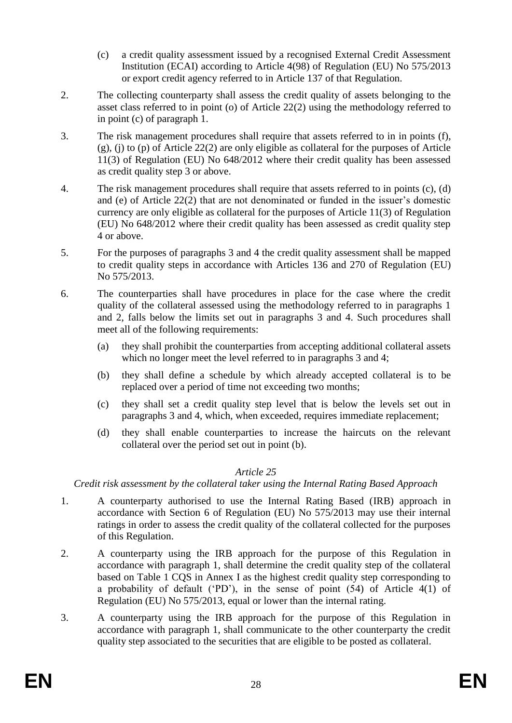- (c) a credit quality assessment issued by a recognised External Credit Assessment Institution (ECAI) according to Article 4(98) of Regulation (EU) No 575/2013 or export credit agency referred to in Article 137 of that Regulation.
- 2. The collecting counterparty shall assess the credit quality of assets belonging to the asset class referred to in point (o) of Article 22(2) using the methodology referred to in point (c) of paragraph 1.
- 3. The risk management procedures shall require that assets referred to in in points (f), (g), (j) to (p) of Article 22(2) are only eligible as collateral for the purposes of Article 11(3) of Regulation (EU) No 648/2012 where their credit quality has been assessed as credit quality step 3 or above.
- 4. The risk management procedures shall require that assets referred to in points (c), (d) and (e) of Article 22(2) that are not denominated or funded in the issuer's domestic currency are only eligible as collateral for the purposes of Article 11(3) of Regulation (EU) No 648/2012 where their credit quality has been assessed as credit quality step 4 or above.
- 5. For the purposes of paragraphs 3 and 4 the credit quality assessment shall be mapped to credit quality steps in accordance with Articles 136 and 270 of Regulation (EU) No 575/2013.
- 6. The counterparties shall have procedures in place for the case where the credit quality of the collateral assessed using the methodology referred to in paragraphs 1 and 2, falls below the limits set out in paragraphs 3 and 4. Such procedures shall meet all of the following requirements:
	- (a) they shall prohibit the counterparties from accepting additional collateral assets which no longer meet the level referred to in paragraphs 3 and 4;
	- (b) they shall define a schedule by which already accepted collateral is to be replaced over a period of time not exceeding two months;
	- (c) they shall set a credit quality step level that is below the levels set out in paragraphs 3 and 4, which, when exceeded, requires immediate replacement;
	- (d) they shall enable counterparties to increase the haircuts on the relevant collateral over the period set out in point (b).

## *Article 25*

*Credit risk assessment by the collateral taker using the Internal Rating Based Approach*

- 1. A counterparty authorised to use the Internal Rating Based (IRB) approach in accordance with Section 6 of Regulation (EU) No 575/2013 may use their internal ratings in order to assess the credit quality of the collateral collected for the purposes of this Regulation.
- 2. A counterparty using the IRB approach for the purpose of this Regulation in accordance with paragraph 1, shall determine the credit quality step of the collateral based on Table 1 CQS in Annex I as the highest credit quality step corresponding to a probability of default ('PD'), in the sense of point (54) of Article 4(1) of Regulation (EU) No 575/2013, equal or lower than the internal rating.
- 3. A counterparty using the IRB approach for the purpose of this Regulation in accordance with paragraph 1, shall communicate to the other counterparty the credit quality step associated to the securities that are eligible to be posted as collateral.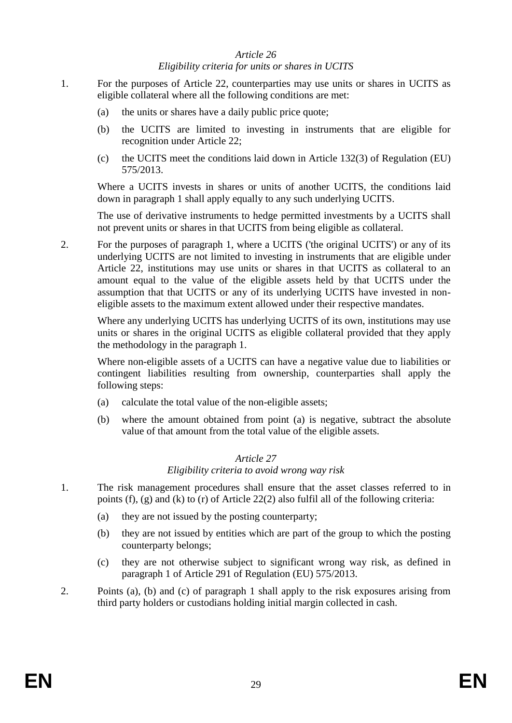#### *Article 26 Eligibility criteria for units or shares in UCITS*

- 1. For the purposes of Article 22, counterparties may use units or shares in UCITS as eligible collateral where all the following conditions are met:
	- (a) the units or shares have a daily public price quote;
	- (b) the UCITS are limited to investing in instruments that are eligible for recognition under Article 22;
	- (c) the UCITS meet the conditions laid down in Article 132(3) of Regulation (EU) 575/2013.

Where a UCITS invests in shares or units of another UCITS, the conditions laid down in paragraph 1 shall apply equally to any such underlying UCITS.

The use of derivative instruments to hedge permitted investments by a UCITS shall not prevent units or shares in that UCITS from being eligible as collateral.

2. For the purposes of paragraph 1, where a UCITS ('the original UCITS') or any of its underlying UCITS are not limited to investing in instruments that are eligible under Article 22, institutions may use units or shares in that UCITS as collateral to an amount equal to the value of the eligible assets held by that UCITS under the assumption that that UCITS or any of its underlying UCITS have invested in noneligible assets to the maximum extent allowed under their respective mandates.

Where any underlying UCITS has underlying UCITS of its own, institutions may use units or shares in the original UCITS as eligible collateral provided that they apply the methodology in the paragraph 1.

Where non-eligible assets of a UCITS can have a negative value due to liabilities or contingent liabilities resulting from ownership, counterparties shall apply the following steps:

- (a) calculate the total value of the non-eligible assets;
- (b) where the amount obtained from point (a) is negative, subtract the absolute value of that amount from the total value of the eligible assets.

#### *Article 27*

#### *Eligibility criteria to avoid wrong way risk*

- 1. The risk management procedures shall ensure that the asset classes referred to in points (f), (g) and (k) to (r) of Article 22(2) also fulfil all of the following criteria:
	- (a) they are not issued by the posting counterparty;
	- (b) they are not issued by entities which are part of the group to which the posting counterparty belongs;
	- (c) they are not otherwise subject to significant wrong way risk, as defined in paragraph 1 of Article 291 of Regulation (EU) 575/2013.
- 2. Points (a), (b) and (c) of paragraph 1 shall apply to the risk exposures arising from third party holders or custodians holding initial margin collected in cash.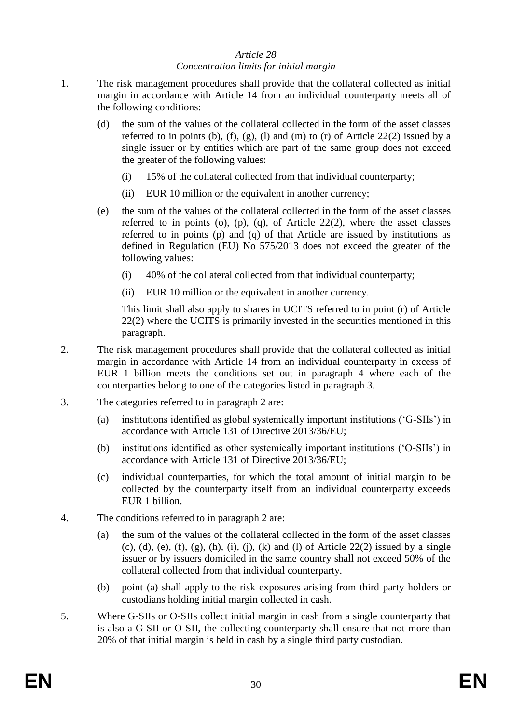#### *Article 28 Concentration limits for initial margin*

- 1. The risk management procedures shall provide that the collateral collected as initial margin in accordance with Article 14 from an individual counterparty meets all of the following conditions:
	- (d) the sum of the values of the collateral collected in the form of the asset classes referred to in points (b), (f), (g), (l) and (m) to (r) of Article 22(2) issued by a single issuer or by entities which are part of the same group does not exceed the greater of the following values:
		- (i) 15% of the collateral collected from that individual counterparty;
		- (ii) EUR 10 million or the equivalent in another currency;
	- (e) the sum of the values of the collateral collected in the form of the asset classes referred to in points (o), (p), (q), of Article  $22(2)$ , where the asset classes referred to in points (p) and (q) of that Article are issued by institutions as defined in Regulation (EU) No 575/2013 does not exceed the greater of the following values:
		- (i) 40% of the collateral collected from that individual counterparty;
		- (ii) EUR 10 million or the equivalent in another currency.

This limit shall also apply to shares in UCITS referred to in point (r) of Article 22(2) where the UCITS is primarily invested in the securities mentioned in this paragraph.

- 2. The risk management procedures shall provide that the collateral collected as initial margin in accordance with Article 14 from an individual counterparty in excess of EUR 1 billion meets the conditions set out in paragraph 4 where each of the counterparties belong to one of the categories listed in paragraph 3.
- 3. The categories referred to in paragraph 2 are:
	- (a) institutions identified as global systemically important institutions ('G-SIIs') in accordance with Article 131 of Directive 2013/36/EU;
	- (b) institutions identified as other systemically important institutions ('O-SIIs') in accordance with Article 131 of Directive 2013/36/EU;
	- (c) individual counterparties, for which the total amount of initial margin to be collected by the counterparty itself from an individual counterparty exceeds EUR 1 billion.
- 4. The conditions referred to in paragraph 2 are:
	- (a) the sum of the values of the collateral collected in the form of the asset classes (c), (d), (e), (f), (g), (h), (i), (j), (k) and (l) of Article 22(2) issued by a single issuer or by issuers domiciled in the same country shall not exceed 50% of the collateral collected from that individual counterparty.
	- (b) point (a) shall apply to the risk exposures arising from third party holders or custodians holding initial margin collected in cash.
- 5. Where G-SIIs or O-SIIs collect initial margin in cash from a single counterparty that is also a G-SII or O-SII, the collecting counterparty shall ensure that not more than 20% of that initial margin is held in cash by a single third party custodian.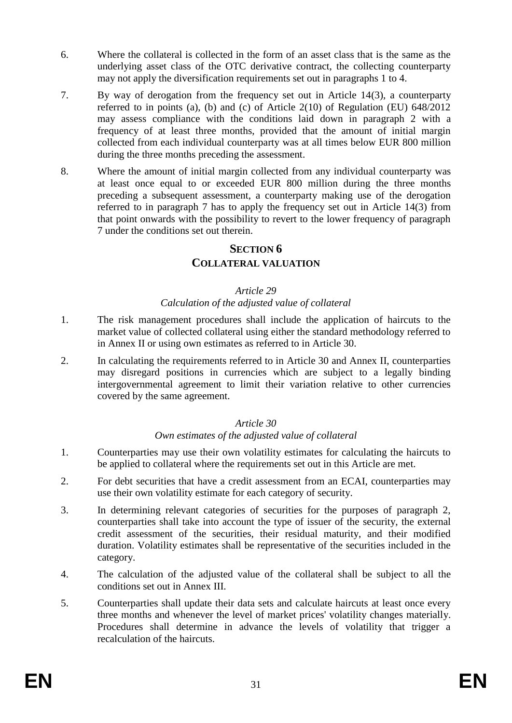- 6. Where the collateral is collected in the form of an asset class that is the same as the underlying asset class of the OTC derivative contract, the collecting counterparty may not apply the diversification requirements set out in paragraphs 1 to 4.
- 7. By way of derogation from the frequency set out in Article 14(3), a counterparty referred to in points (a), (b) and (c) of Article 2(10) of Regulation (EU) 648/2012 may assess compliance with the conditions laid down in paragraph 2 with a frequency of at least three months, provided that the amount of initial margin collected from each individual counterparty was at all times below EUR 800 million during the three months preceding the assessment.
- 8. Where the amount of initial margin collected from any individual counterparty was at least once equal to or exceeded EUR 800 million during the three months preceding a subsequent assessment, a counterparty making use of the derogation referred to in paragraph 7 has to apply the frequency set out in Article 14(3) from that point onwards with the possibility to revert to the lower frequency of paragraph 7 under the conditions set out therein.

## **SECTION 6**

## **COLLATERAL VALUATION**

#### *Article 29*

#### *Calculation of the adjusted value of collateral*

- 1. The risk management procedures shall include the application of haircuts to the market value of collected collateral using either the standard methodology referred to in Annex II or using own estimates as referred to in Article 30.
- 2. In calculating the requirements referred to in Article 30 and Annex II, counterparties may disregard positions in currencies which are subject to a legally binding intergovernmental agreement to limit their variation relative to other currencies covered by the same agreement.

#### *Article 30*

#### *Own estimates of the adjusted value of collateral*

- 1. Counterparties may use their own volatility estimates for calculating the haircuts to be applied to collateral where the requirements set out in this Article are met.
- 2. For debt securities that have a credit assessment from an ECAI, counterparties may use their own volatility estimate for each category of security.
- 3. In determining relevant categories of securities for the purposes of paragraph 2, counterparties shall take into account the type of issuer of the security, the external credit assessment of the securities, their residual maturity, and their modified duration. Volatility estimates shall be representative of the securities included in the category.
- 4. The calculation of the adjusted value of the collateral shall be subject to all the conditions set out in Annex III.
- 5. Counterparties shall update their data sets and calculate haircuts at least once every three months and whenever the level of market prices' volatility changes materially. Procedures shall determine in advance the levels of volatility that trigger a recalculation of the haircuts.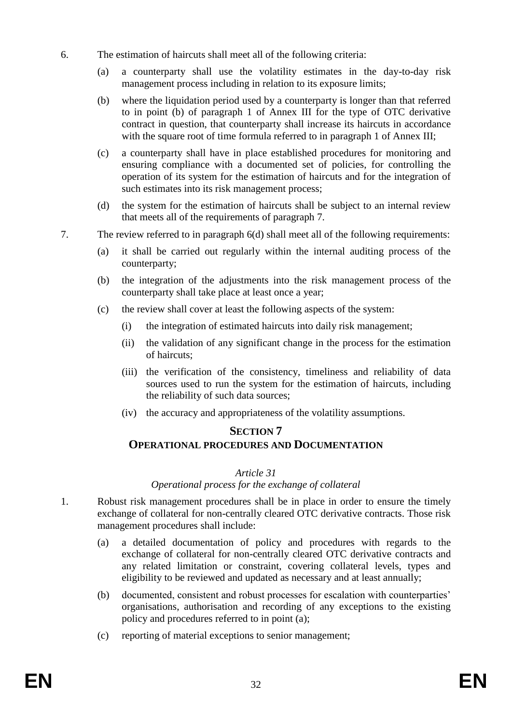- 6. The estimation of haircuts shall meet all of the following criteria:
	- (a) a counterparty shall use the volatility estimates in the day-to-day risk management process including in relation to its exposure limits;
	- (b) where the liquidation period used by a counterparty is longer than that referred to in point (b) of paragraph 1 of Annex III for the type of OTC derivative contract in question, that counterparty shall increase its haircuts in accordance with the square root of time formula referred to in paragraph 1 of Annex III;
	- (c) a counterparty shall have in place established procedures for monitoring and ensuring compliance with a documented set of policies, for controlling the operation of its system for the estimation of haircuts and for the integration of such estimates into its risk management process;
	- (d) the system for the estimation of haircuts shall be subject to an internal review that meets all of the requirements of paragraph 7.
- 7. The review referred to in paragraph 6(d) shall meet all of the following requirements:
	- (a) it shall be carried out regularly within the internal auditing process of the counterparty;
	- (b) the integration of the adjustments into the risk management process of the counterparty shall take place at least once a year;
	- (c) the review shall cover at least the following aspects of the system:
		- (i) the integration of estimated haircuts into daily risk management;
		- (ii) the validation of any significant change in the process for the estimation of haircuts;
		- (iii) the verification of the consistency, timeliness and reliability of data sources used to run the system for the estimation of haircuts, including the reliability of such data sources;
		- (iv) the accuracy and appropriateness of the volatility assumptions.

## **SECTION 7**

## **OPERATIONAL PROCEDURES AND DOCUMENTATION**

## *Article 31*

*Operational process for the exchange of collateral*

- 1. Robust risk management procedures shall be in place in order to ensure the timely exchange of collateral for non-centrally cleared OTC derivative contracts. Those risk management procedures shall include:
	- (a) a detailed documentation of policy and procedures with regards to the exchange of collateral for non-centrally cleared OTC derivative contracts and any related limitation or constraint, covering collateral levels, types and eligibility to be reviewed and updated as necessary and at least annually;
	- (b) documented, consistent and robust processes for escalation with counterparties' organisations, authorisation and recording of any exceptions to the existing policy and procedures referred to in point (a);
	- (c) reporting of material exceptions to senior management;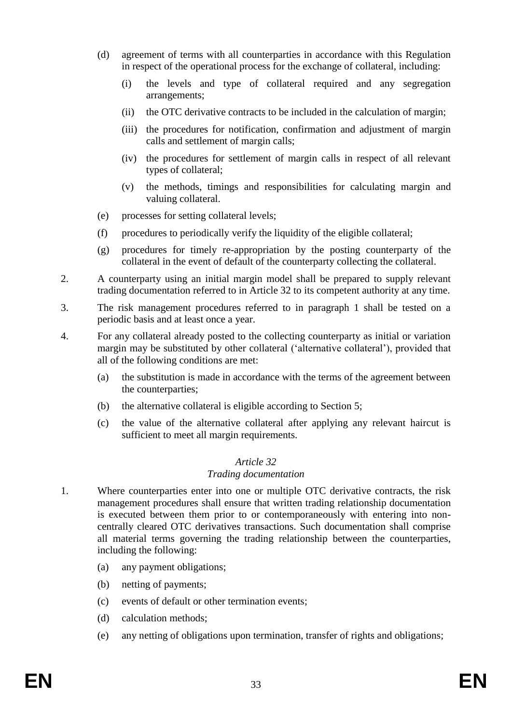- (d) agreement of terms with all counterparties in accordance with this Regulation in respect of the operational process for the exchange of collateral, including:
	- (i) the levels and type of collateral required and any segregation arrangements;
	- (ii) the OTC derivative contracts to be included in the calculation of margin;
	- (iii) the procedures for notification, confirmation and adjustment of margin calls and settlement of margin calls;
	- (iv) the procedures for settlement of margin calls in respect of all relevant types of collateral;
	- (v) the methods, timings and responsibilities for calculating margin and valuing collateral.
- (e) processes for setting collateral levels;
- (f) procedures to periodically verify the liquidity of the eligible collateral;
- (g) procedures for timely re-appropriation by the posting counterparty of the collateral in the event of default of the counterparty collecting the collateral.
- 2. A counterparty using an initial margin model shall be prepared to supply relevant trading documentation referred to in Article 32 to its competent authority at any time.
- 3. The risk management procedures referred to in paragraph 1 shall be tested on a periodic basis and at least once a year.
- 4. For any collateral already posted to the collecting counterparty as initial or variation margin may be substituted by other collateral ('alternative collateral'), provided that all of the following conditions are met:
	- (a) the substitution is made in accordance with the terms of the agreement between the counterparties;
	- (b) the alternative collateral is eligible according to Section 5;
	- (c) the value of the alternative collateral after applying any relevant haircut is sufficient to meet all margin requirements.

## *Article 32*

#### *Trading documentation*

- 1. Where counterparties enter into one or multiple OTC derivative contracts, the risk management procedures shall ensure that written trading relationship documentation is executed between them prior to or contemporaneously with entering into noncentrally cleared OTC derivatives transactions. Such documentation shall comprise all material terms governing the trading relationship between the counterparties, including the following:
	- (a) any payment obligations;
	- (b) netting of payments;
	- (c) events of default or other termination events;
	- (d) calculation methods;
	- (e) any netting of obligations upon termination, transfer of rights and obligations;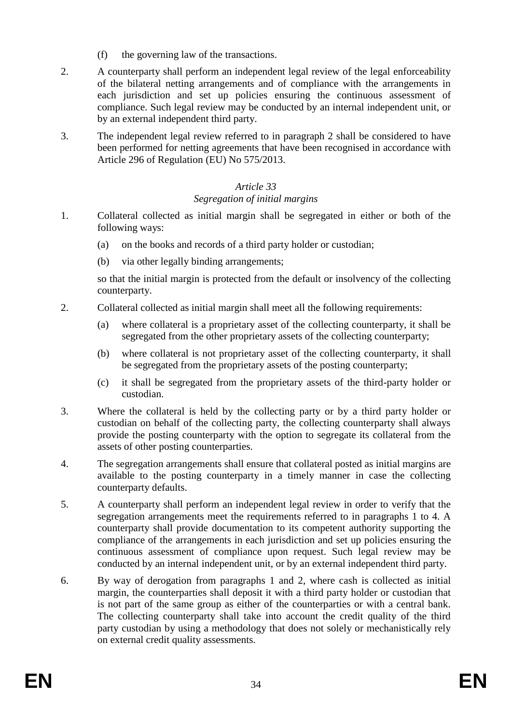- (f) the governing law of the transactions.
- 2. A counterparty shall perform an independent legal review of the legal enforceability of the bilateral netting arrangements and of compliance with the arrangements in each jurisdiction and set up policies ensuring the continuous assessment of compliance. Such legal review may be conducted by an internal independent unit, or by an external independent third party.
- 3. The independent legal review referred to in paragraph 2 shall be considered to have been performed for netting agreements that have been recognised in accordance with Article 296 of Regulation (EU) No 575/2013.

## *Article 33 Segregation of initial margins*

- 1. Collateral collected as initial margin shall be segregated in either or both of the following ways:
	- (a) on the books and records of a third party holder or custodian;
	- (b) via other legally binding arrangements;

so that the initial margin is protected from the default or insolvency of the collecting counterparty.

- 2. Collateral collected as initial margin shall meet all the following requirements:
	- (a) where collateral is a proprietary asset of the collecting counterparty, it shall be segregated from the other proprietary assets of the collecting counterparty;
	- (b) where collateral is not proprietary asset of the collecting counterparty, it shall be segregated from the proprietary assets of the posting counterparty;
	- (c) it shall be segregated from the proprietary assets of the third-party holder or custodian.
- 3. Where the collateral is held by the collecting party or by a third party holder or custodian on behalf of the collecting party, the collecting counterparty shall always provide the posting counterparty with the option to segregate its collateral from the assets of other posting counterparties.
- 4. The segregation arrangements shall ensure that collateral posted as initial margins are available to the posting counterparty in a timely manner in case the collecting counterparty defaults.
- 5. A counterparty shall perform an independent legal review in order to verify that the segregation arrangements meet the requirements referred to in paragraphs 1 to 4. A counterparty shall provide documentation to its competent authority supporting the compliance of the arrangements in each jurisdiction and set up policies ensuring the continuous assessment of compliance upon request. Such legal review may be conducted by an internal independent unit, or by an external independent third party.
- 6. By way of derogation from paragraphs 1 and 2, where cash is collected as initial margin, the counterparties shall deposit it with a third party holder or custodian that is not part of the same group as either of the counterparties or with a central bank. The collecting counterparty shall take into account the credit quality of the third party custodian by using a methodology that does not solely or mechanistically rely on external credit quality assessments.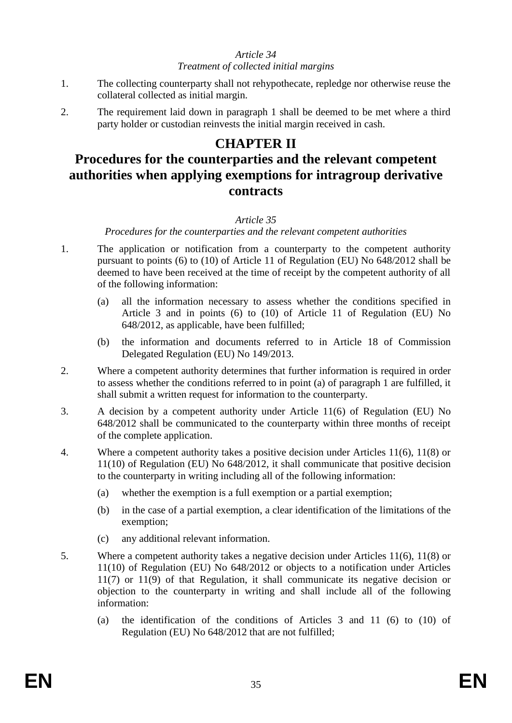#### *Article 34 Treatment of collected initial margins*

- 1. The collecting counterparty shall not rehypothecate, repledge nor otherwise reuse the collateral collected as initial margin.
- 2. The requirement laid down in paragraph 1 shall be deemed to be met where a third party holder or custodian reinvests the initial margin received in cash.

# **CHAPTER II**

# **Procedures for the counterparties and the relevant competent authorities when applying exemptions for intragroup derivative contracts**

## *Article 35*

*Procedures for the counterparties and the relevant competent authorities*

- 1. The application or notification from a counterparty to the competent authority pursuant to points (6) to (10) of Article 11 of Regulation (EU) No 648/2012 shall be deemed to have been received at the time of receipt by the competent authority of all of the following information:
	- (a) all the information necessary to assess whether the conditions specified in Article 3 and in points (6) to (10) of Article 11 of Regulation (EU) No 648/2012, as applicable, have been fulfilled;
	- (b) the information and documents referred to in Article 18 of Commission Delegated Regulation (EU) No 149/2013.
- 2. Where a competent authority determines that further information is required in order to assess whether the conditions referred to in point (a) of paragraph 1 are fulfilled, it shall submit a written request for information to the counterparty.
- 3. A decision by a competent authority under Article 11(6) of Regulation (EU) No 648/2012 shall be communicated to the counterparty within three months of receipt of the complete application.
- 4. Where a competent authority takes a positive decision under Articles 11(6), 11(8) or 11(10) of Regulation (EU) No 648/2012, it shall communicate that positive decision to the counterparty in writing including all of the following information:
	- (a) whether the exemption is a full exemption or a partial exemption;
	- (b) in the case of a partial exemption, a clear identification of the limitations of the exemption;
	- (c) any additional relevant information.
- 5. Where a competent authority takes a negative decision under Articles 11(6), 11(8) or 11(10) of Regulation (EU) No 648/2012 or objects to a notification under Articles 11(7) or 11(9) of that Regulation, it shall communicate its negative decision or objection to the counterparty in writing and shall include all of the following information:
	- (a) the identification of the conditions of Articles 3 and 11 (6) to (10) of Regulation (EU) No 648/2012 that are not fulfilled;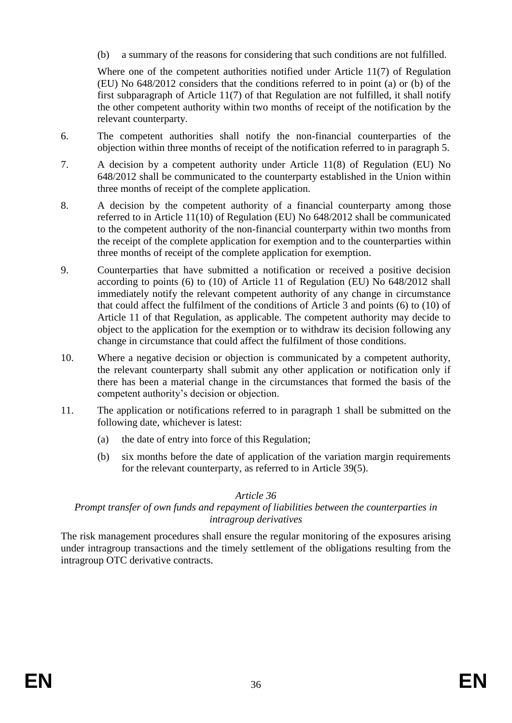(b) a summary of the reasons for considering that such conditions are not fulfilled.

Where one of the competent authorities notified under Article 11(7) of Regulation (EU) No 648/2012 considers that the conditions referred to in point (a) or (b) of the first subparagraph of Article 11(7) of that Regulation are not fulfilled, it shall notify the other competent authority within two months of receipt of the notification by the relevant counterparty.

- 6. The competent authorities shall notify the non-financial counterparties of the objection within three months of receipt of the notification referred to in paragraph 5.
- 7. A decision by a competent authority under Article 11(8) of Regulation (EU) No 648/2012 shall be communicated to the counterparty established in the Union within three months of receipt of the complete application.
- 8. A decision by the competent authority of a financial counterparty among those referred to in Article 11(10) of Regulation (EU) No 648/2012 shall be communicated to the competent authority of the non-financial counterparty within two months from the receipt of the complete application for exemption and to the counterparties within three months of receipt of the complete application for exemption.
- 9. Counterparties that have submitted a notification or received a positive decision according to points (6) to (10) of Article 11 of Regulation (EU) No 648/2012 shall immediately notify the relevant competent authority of any change in circumstance that could affect the fulfilment of the conditions of Article 3 and points (6) to (10) of Article 11 of that Regulation, as applicable. The competent authority may decide to object to the application for the exemption or to withdraw its decision following any change in circumstance that could affect the fulfilment of those conditions.
- 10. Where a negative decision or objection is communicated by a competent authority, the relevant counterparty shall submit any other application or notification only if there has been a material change in the circumstances that formed the basis of the competent authority's decision or objection.
- 11. The application or notifications referred to in paragraph 1 shall be submitted on the following date, whichever is latest:
	- (a) the date of entry into force of this Regulation;
	- (b) six months before the date of application of the variation margin requirements for the relevant counterparty, as referred to in Article 39(5).

## *Article 36*

## *Prompt transfer of own funds and repayment of liabilities between the counterparties in intragroup derivatives*

The risk management procedures shall ensure the regular monitoring of the exposures arising under intragroup transactions and the timely settlement of the obligations resulting from the intragroup OTC derivative contracts.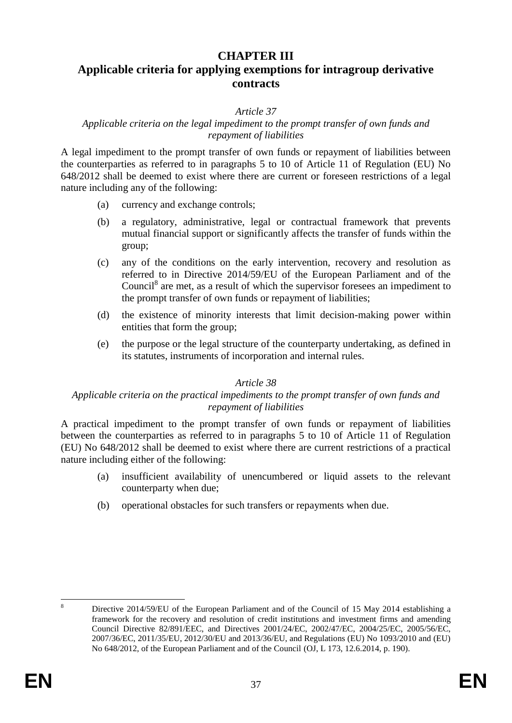## **CHAPTER III**

# **Applicable criteria for applying exemptions for intragroup derivative contracts**

#### *Article 37*

#### *Applicable criteria on the legal impediment to the prompt transfer of own funds and repayment of liabilities*

A legal impediment to the prompt transfer of own funds or repayment of liabilities between the counterparties as referred to in paragraphs 5 to 10 of Article 11 of Regulation (EU) No 648/2012 shall be deemed to exist where there are current or foreseen restrictions of a legal nature including any of the following:

- (a) currency and exchange controls;
- (b) a regulatory, administrative, legal or contractual framework that prevents mutual financial support or significantly affects the transfer of funds within the group;
- (c) any of the conditions on the early intervention, recovery and resolution as referred to in Directive 2014/59/EU of the European Parliament and of the Council<sup>8</sup> are met, as a result of which the supervisor foresees an impediment to the prompt transfer of own funds or repayment of liabilities;
- (d) the existence of minority interests that limit decision-making power within entities that form the group;
- (e) the purpose or the legal structure of the counterparty undertaking, as defined in its statutes, instruments of incorporation and internal rules.

#### *Article 38*

#### *Applicable criteria on the practical impediments to the prompt transfer of own funds and repayment of liabilities*

A practical impediment to the prompt transfer of own funds or repayment of liabilities between the counterparties as referred to in paragraphs 5 to 10 of Article 11 of Regulation (EU) No 648/2012 shall be deemed to exist where there are current restrictions of a practical nature including either of the following:

- (a) insufficient availability of unencumbered or liquid assets to the relevant counterparty when due;
- (b) operational obstacles for such transfers or repayments when due.

 $\overline{R}$ <sup>8</sup> Directive 2014/59/EU of the European Parliament and of the Council of 15 May 2014 establishing a framework for the recovery and resolution of credit institutions and investment firms and amending Council Directive 82/891/EEC, and Directives 2001/24/EC, 2002/47/EC, 2004/25/EC, 2005/56/EC, 2007/36/EC, 2011/35/EU, 2012/30/EU and 2013/36/EU, and Regulations (EU) No 1093/2010 and (EU) No 648/2012, of the European Parliament and of the Council (OJ, L 173, 12.6.2014, p. 190).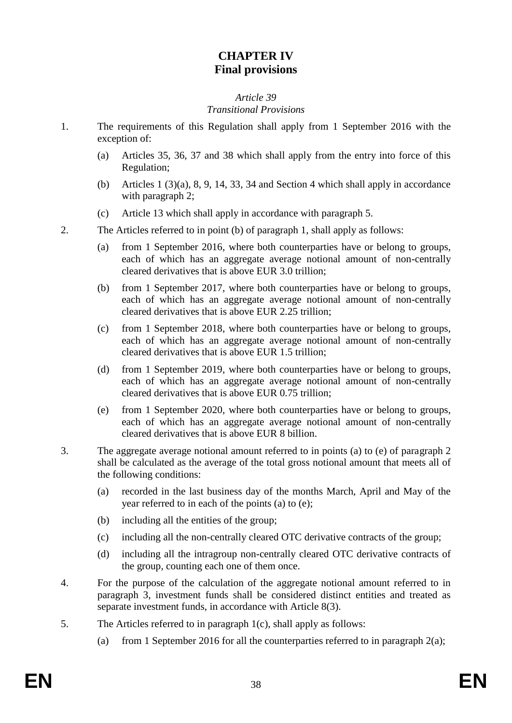# **CHAPTER IV Final provisions**

#### *Article 39 Transitional Provisions*

- 1. The requirements of this Regulation shall apply from 1 September 2016 with the exception of:
	- (a) Articles 35, 36, 37 and 38 which shall apply from the entry into force of this Regulation;
	- (b) Articles  $1(3)(a)$ ,  $8, 9, 14, 33, 34$  and Section 4 which shall apply in accordance with paragraph 2;
	- (c) Article 13 which shall apply in accordance with paragraph 5.

2. The Articles referred to in point (b) of paragraph 1, shall apply as follows:

- (a) from 1 September 2016, where both counterparties have or belong to groups, each of which has an aggregate average notional amount of non-centrally cleared derivatives that is above EUR 3.0 trillion;
- (b) from 1 September 2017, where both counterparties have or belong to groups, each of which has an aggregate average notional amount of non-centrally cleared derivatives that is above EUR 2.25 trillion;
- (c) from 1 September 2018, where both counterparties have or belong to groups, each of which has an aggregate average notional amount of non-centrally cleared derivatives that is above EUR 1.5 trillion;
- (d) from 1 September 2019, where both counterparties have or belong to groups, each of which has an aggregate average notional amount of non-centrally cleared derivatives that is above EUR 0.75 trillion;
- (e) from 1 September 2020, where both counterparties have or belong to groups, each of which has an aggregate average notional amount of non-centrally cleared derivatives that is above EUR 8 billion.
- 3. The aggregate average notional amount referred to in points (a) to (e) of paragraph 2 shall be calculated as the average of the total gross notional amount that meets all of the following conditions:
	- (a) recorded in the last business day of the months March, April and May of the year referred to in each of the points (a) to (e);
	- (b) including all the entities of the group;
	- (c) including all the non-centrally cleared OTC derivative contracts of the group;
	- (d) including all the intragroup non-centrally cleared OTC derivative contracts of the group, counting each one of them once.
- 4. For the purpose of the calculation of the aggregate notional amount referred to in paragraph 3, investment funds shall be considered distinct entities and treated as separate investment funds, in accordance with Article 8(3).
- 5. The Articles referred to in paragraph 1(c), shall apply as follows:
	- (a) from 1 September 2016 for all the counterparties referred to in paragraph  $2(a)$ ;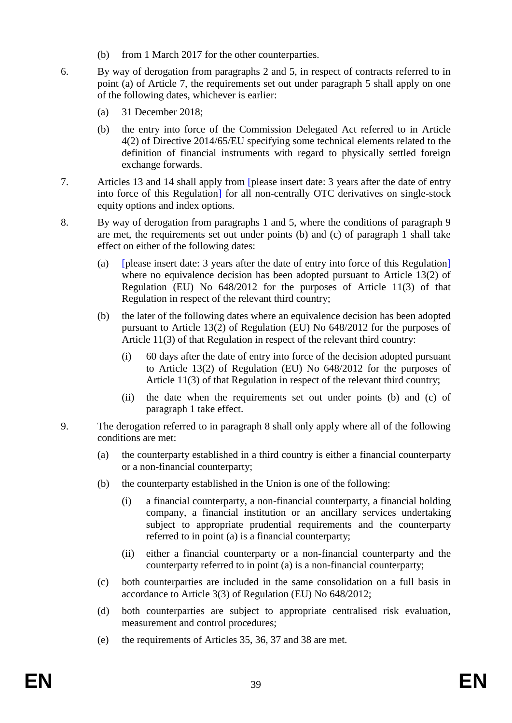- (b) from 1 March 2017 for the other counterparties.
- 6. By way of derogation from paragraphs 2 and 5, in respect of contracts referred to in point (a) of Article 7, the requirements set out under paragraph 5 shall apply on one of the following dates, whichever is earlier:
	- (a) 31 December 2018;
	- (b) the entry into force of the Commission Delegated Act referred to in Article 4(2) of Directive 2014/65/EU specifying some technical elements related to the definition of financial instruments with regard to physically settled foreign exchange forwards.
- 7. Articles 13 and 14 shall apply from [please insert date: 3 years after the date of entry into force of this Regulation] for all non-centrally OTC derivatives on single-stock equity options and index options.
- 8. By way of derogation from paragraphs 1 and 5, where the conditions of paragraph 9 are met, the requirements set out under points (b) and (c) of paragraph 1 shall take effect on either of the following dates:
	- (a) [please insert date: 3 years after the date of entry into force of this Regulation] where no equivalence decision has been adopted pursuant to Article 13(2) of Regulation (EU) No 648/2012 for the purposes of Article 11(3) of that Regulation in respect of the relevant third country;
	- (b) the later of the following dates where an equivalence decision has been adopted pursuant to Article 13(2) of Regulation (EU) No 648/2012 for the purposes of Article 11(3) of that Regulation in respect of the relevant third country:
		- (i) 60 days after the date of entry into force of the decision adopted pursuant to Article 13(2) of Regulation (EU) No 648/2012 for the purposes of Article 11(3) of that Regulation in respect of the relevant third country;
		- (ii) the date when the requirements set out under points (b) and (c) of paragraph 1 take effect.
- 9. The derogation referred to in paragraph 8 shall only apply where all of the following conditions are met:
	- (a) the counterparty established in a third country is either a financial counterparty or a non-financial counterparty;
	- (b) the counterparty established in the Union is one of the following:
		- (i) a financial counterparty, a non-financial counterparty, a financial holding company, a financial institution or an ancillary services undertaking subject to appropriate prudential requirements and the counterparty referred to in point (a) is a financial counterparty;
		- (ii) either a financial counterparty or a non-financial counterparty and the counterparty referred to in point (a) is a non-financial counterparty;
	- (c) both counterparties are included in the same consolidation on a full basis in accordance to Article 3(3) of Regulation (EU) No 648/2012;
	- (d) both counterparties are subject to appropriate centralised risk evaluation, measurement and control procedures;
	- (e) the requirements of Articles 35, 36, 37 and 38 are met.